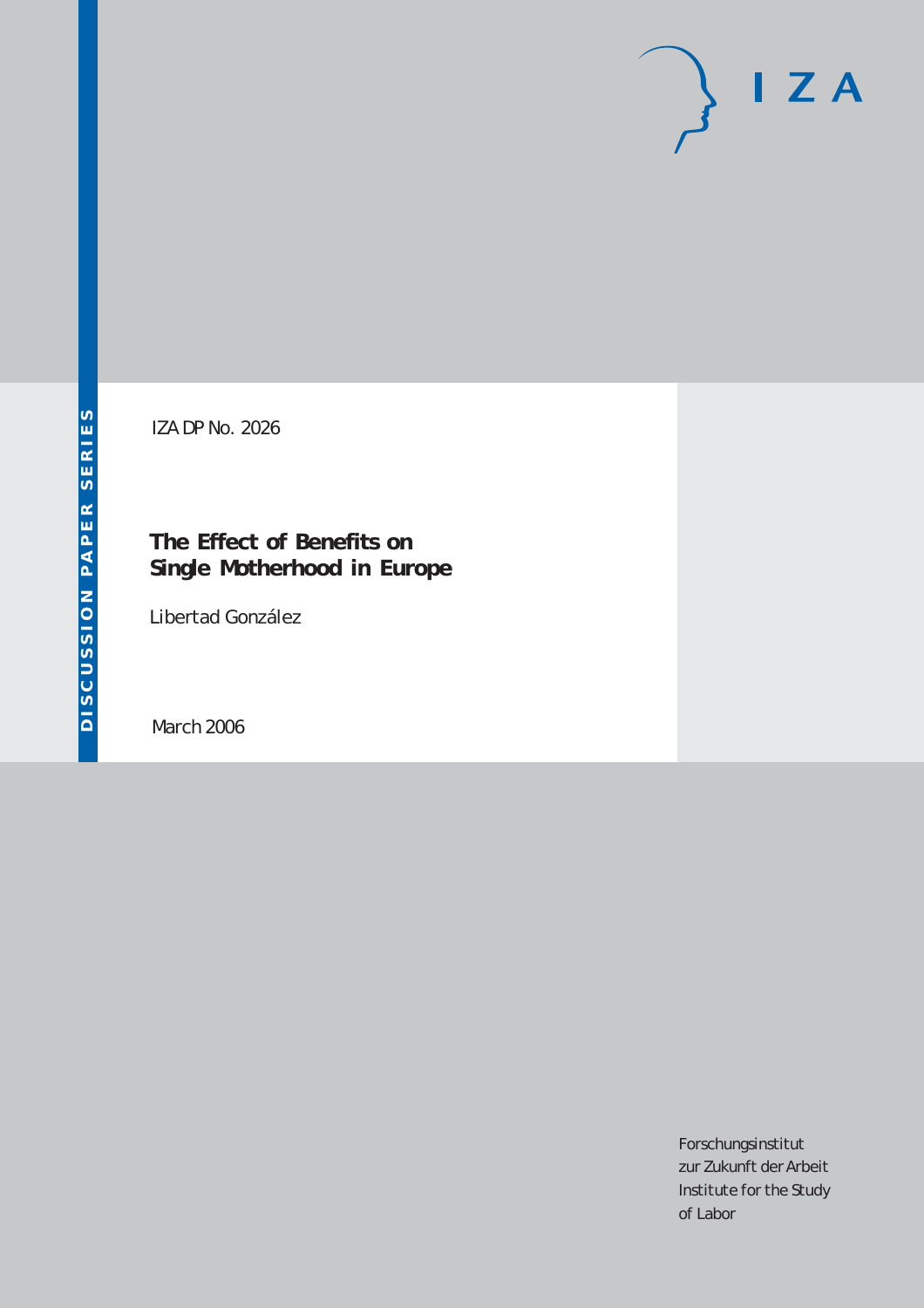# $I Z A$

IZA DP No. 2026

# **The Effect of Benefits on Single Motherhood in Europe**

Libertad González

March 2006

Forschungsinstitut zur Zukunft der Arbeit Institute for the Study of Labor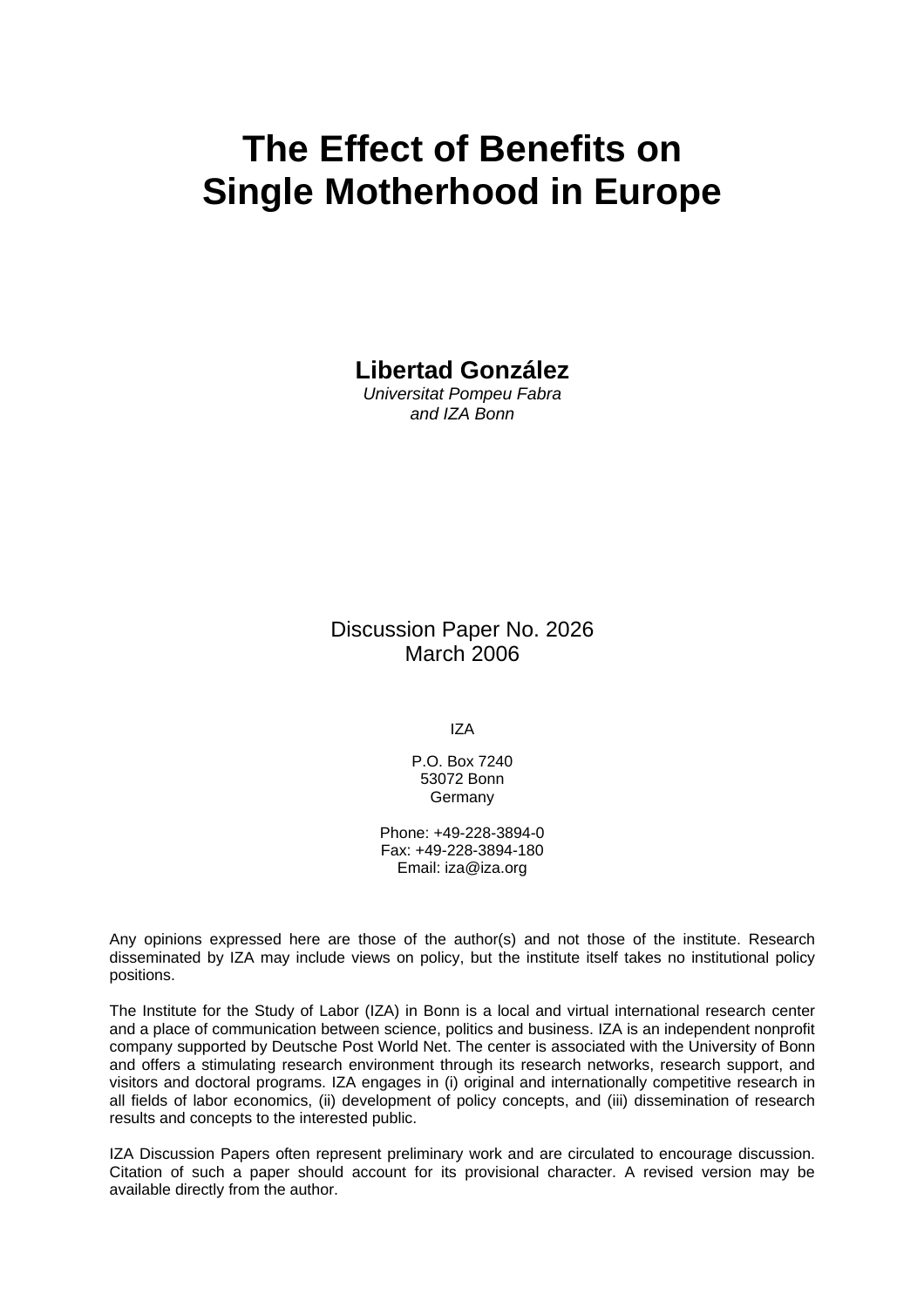# **The Effect of Benefits on Single Motherhood in Europe**

# **Libertad González**

*Universitat Pompeu Fabra and IZA Bonn* 

# Discussion Paper No. 2026 March 2006

IZA

P.O. Box 7240 53072 Bonn Germany

Phone: +49-228-3894-0 Fax: +49-228-3894-180 Email: [iza@iza.org](mailto:iza@iza.org)

Any opinions expressed here are those of the author(s) and not those of the institute. Research disseminated by IZA may include views on policy, but the institute itself takes no institutional policy positions.

The Institute for the Study of Labor (IZA) in Bonn is a local and virtual international research center and a place of communication between science, politics and business. IZA is an independent nonprofit company supported by Deutsche Post World Net. The center is associated with the University of Bonn and offers a stimulating research environment through its research networks, research support, and visitors and doctoral programs. IZA engages in (i) original and internationally competitive research in all fields of labor economics, (ii) development of policy concepts, and (iii) dissemination of research results and concepts to the interested public.

IZA Discussion Papers often represent preliminary work and are circulated to encourage discussion. Citation of such a paper should account for its provisional character. A revised version may be available directly from the author.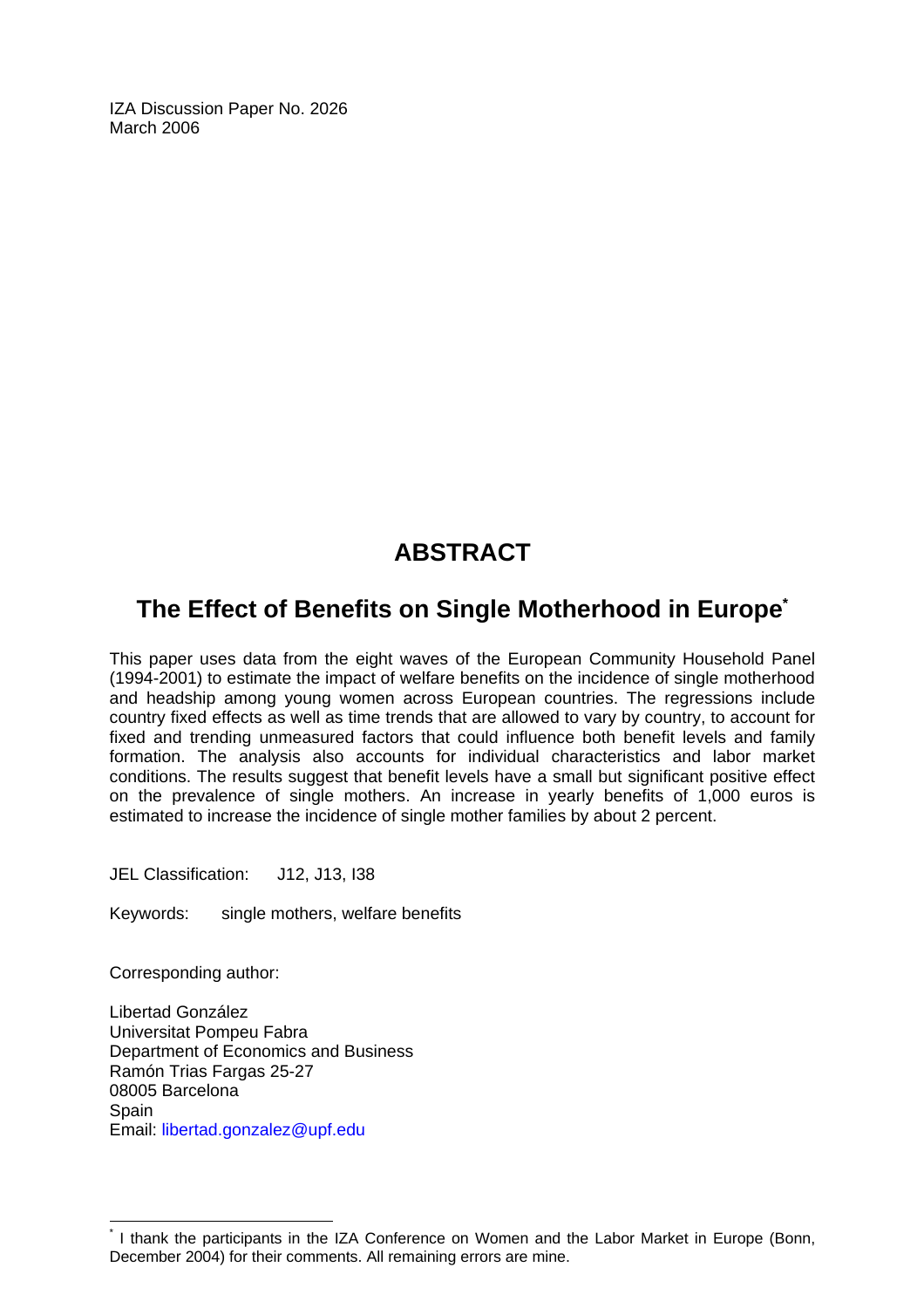IZA Discussion Paper No. 2026 March 2006

# **ABSTRACT**

# **The Effect of Benefits on Single Motherhood in Europ[e\\*](#page-2-0)**

This paper uses data from the eight waves of the European Community Household Panel (1994-2001) to estimate the impact of welfare benefits on the incidence of single motherhood and headship among young women across European countries. The regressions include country fixed effects as well as time trends that are allowed to vary by country, to account for fixed and trending unmeasured factors that could influence both benefit levels and family formation. The analysis also accounts for individual characteristics and labor market conditions. The results suggest that benefit levels have a small but significant positive effect on the prevalence of single mothers. An increase in yearly benefits of 1,000 euros is estimated to increase the incidence of single mother families by about 2 percent.

JEL Classification: J12, J13, I38

Keywords: single mothers, welfare benefits

Corresponding author:

 $\overline{a}$ 

Libertad González Universitat Pompeu Fabra Department of Economics and Business Ramón Trias Fargas 25-27 08005 Barcelona **Spain** Email: [libertad.gonzalez@upf.edu](mailto:libertad.gonzalez@upf.edu)

<span id="page-2-0"></span><sup>\*</sup> I thank the participants in the IZA Conference on Women and the Labor Market in Europe (Bonn, December 2004) for their comments. All remaining errors are mine.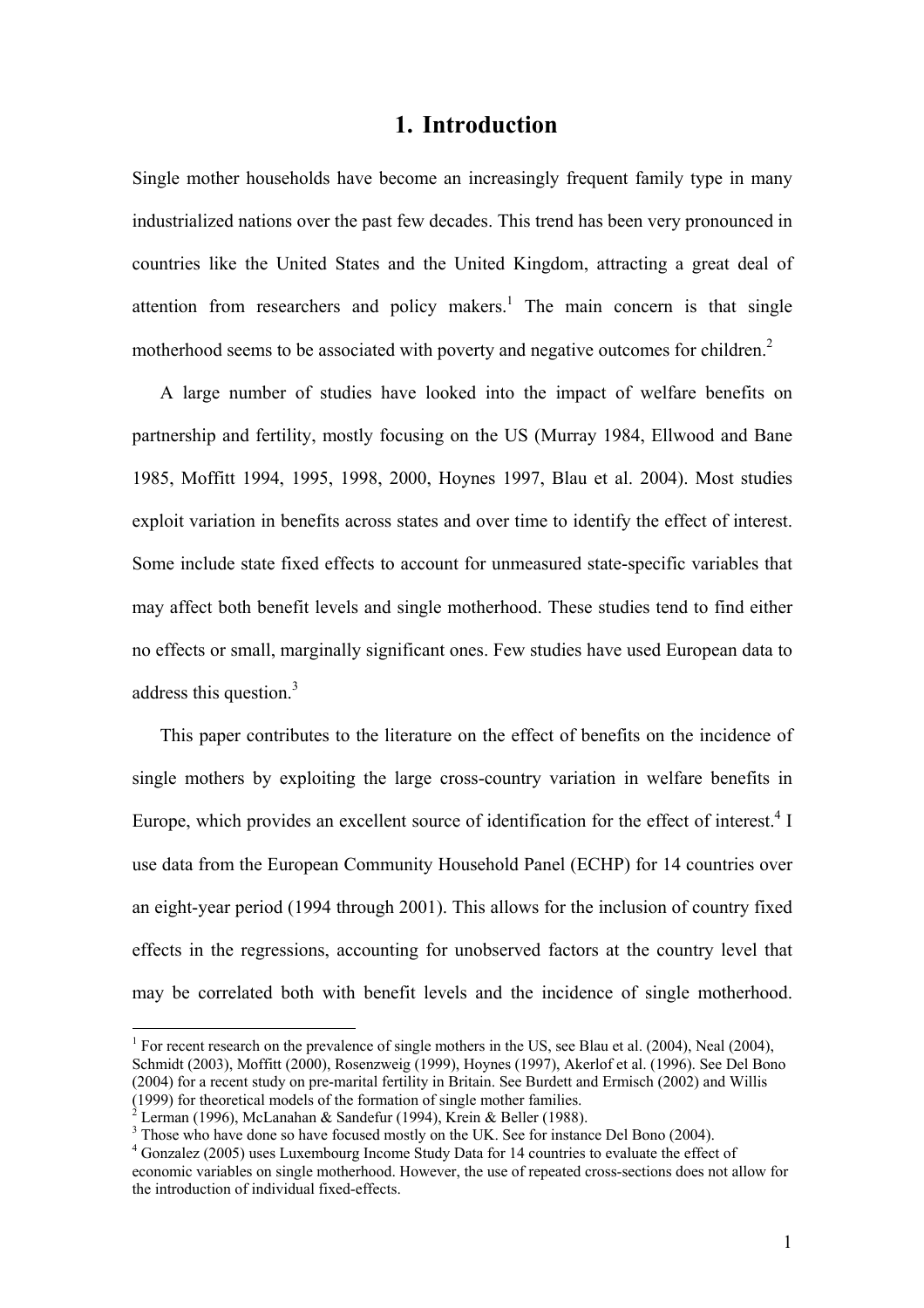#### **1. Introduction**

Single mother households have become an increasingly frequent family type in many industrialized nations over the past few decades. This trend has been very pronounced in countries like the United States and the United Kingdom, attracting a great deal of attention from researchers and policy makers.<sup>1</sup> The main concern is that single motherhood seems to be associated with poverty and negative outcomes for children.<sup>2</sup>

A large number of studies have looked into the impact of welfare benefits on partnership and fertility, mostly focusing on the US (Murray 1984, Ellwood and Bane 1985, Moffitt 1994, 1995, 1998, 2000, Hoynes 1997, Blau et al. 2004). Most studies exploit variation in benefits across states and over time to identify the effect of interest. Some include state fixed effects to account for unmeasured state-specific variables that may affect both benefit levels and single motherhood. These studies tend to find either no effects or small, marginally significant ones. Few studies have used European data to address this question.<sup>3</sup>

This paper contributes to the literature on the effect of benefits on the incidence of single mothers by exploiting the large cross-country variation in welfare benefits in Europe, which provides an excellent source of identification for the effect of interest. $4$  I use data from the European Community Household Panel (ECHP) for 14 countries over an eight-year period (1994 through 2001). This allows for the inclusion of country fixed effects in the regressions, accounting for unobserved factors at the country level that may be correlated both with benefit levels and the incidence of single motherhood.

<sup>&</sup>lt;sup>1</sup> For recent research on the prevalence of single mothers in the US, see Blau et al. (2004), Neal (2004), Schmidt (2003), Moffitt (2000), Rosenzweig (1999), Hoynes (1997), Akerlof et al. (1996). See Del Bono (2004) for a recent study on pre-marital fertility in Britain. See Burdett and Ermisch (2002) and Willis (1999) for theoretical models of the formation of single mother families.<br> $^{2}$  Lerman (1006) MeLenshan & Sandafur (1004) Krain & Pollar (1098).

Lerman (1996), McLanahan & Sandefur (1994), Krein & Beller (1988).

 $3$  Those who have done so have focused mostly on the UK. See for instance Del Bono (2004).

<sup>&</sup>lt;sup>4</sup> Gonzalez (2005) uses Luxembourg Income Study Data for 14 countries to evaluate the effect of economic variables on single motherhood. However, the use of repeated cross-sections does not allow for the introduction of individual fixed-effects.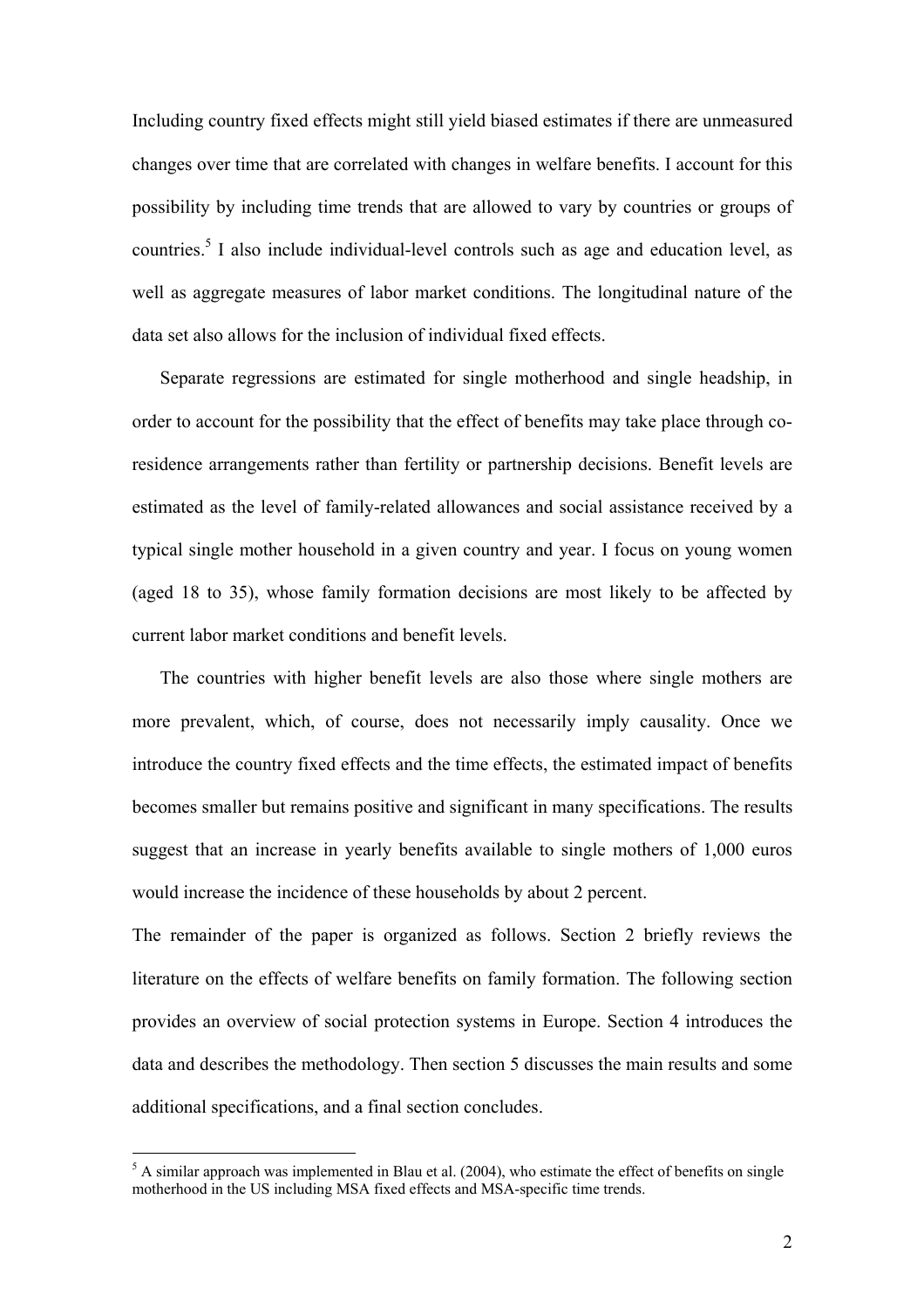Including country fixed effects might still yield biased estimates if there are unmeasured changes over time that are correlated with changes in welfare benefits. I account for this possibility by including time trends that are allowed to vary by countries or groups of countries.<sup>5</sup> I also include individual-level controls such as age and education level, as well as aggregate measures of labor market conditions. The longitudinal nature of the data set also allows for the inclusion of individual fixed effects.

Separate regressions are estimated for single motherhood and single headship, in order to account for the possibility that the effect of benefits may take place through coresidence arrangements rather than fertility or partnership decisions. Benefit levels are estimated as the level of family-related allowances and social assistance received by a typical single mother household in a given country and year. I focus on young women (aged 18 to 35), whose family formation decisions are most likely to be affected by current labor market conditions and benefit levels.

The countries with higher benefit levels are also those where single mothers are more prevalent, which, of course, does not necessarily imply causality. Once we introduce the country fixed effects and the time effects, the estimated impact of benefits becomes smaller but remains positive and significant in many specifications. The results suggest that an increase in yearly benefits available to single mothers of 1,000 euros would increase the incidence of these households by about 2 percent.

The remainder of the paper is organized as follows. Section 2 briefly reviews the literature on the effects of welfare benefits on family formation. The following section provides an overview of social protection systems in Europe. Section 4 introduces the data and describes the methodology. Then section 5 discusses the main results and some additional specifications, and a final section concludes.

 $<sup>5</sup>$  A similar approach was implemented in Blau et al. (2004), who estimate the effect of benefits on single</sup> motherhood in the US including MSA fixed effects and MSA-specific time trends.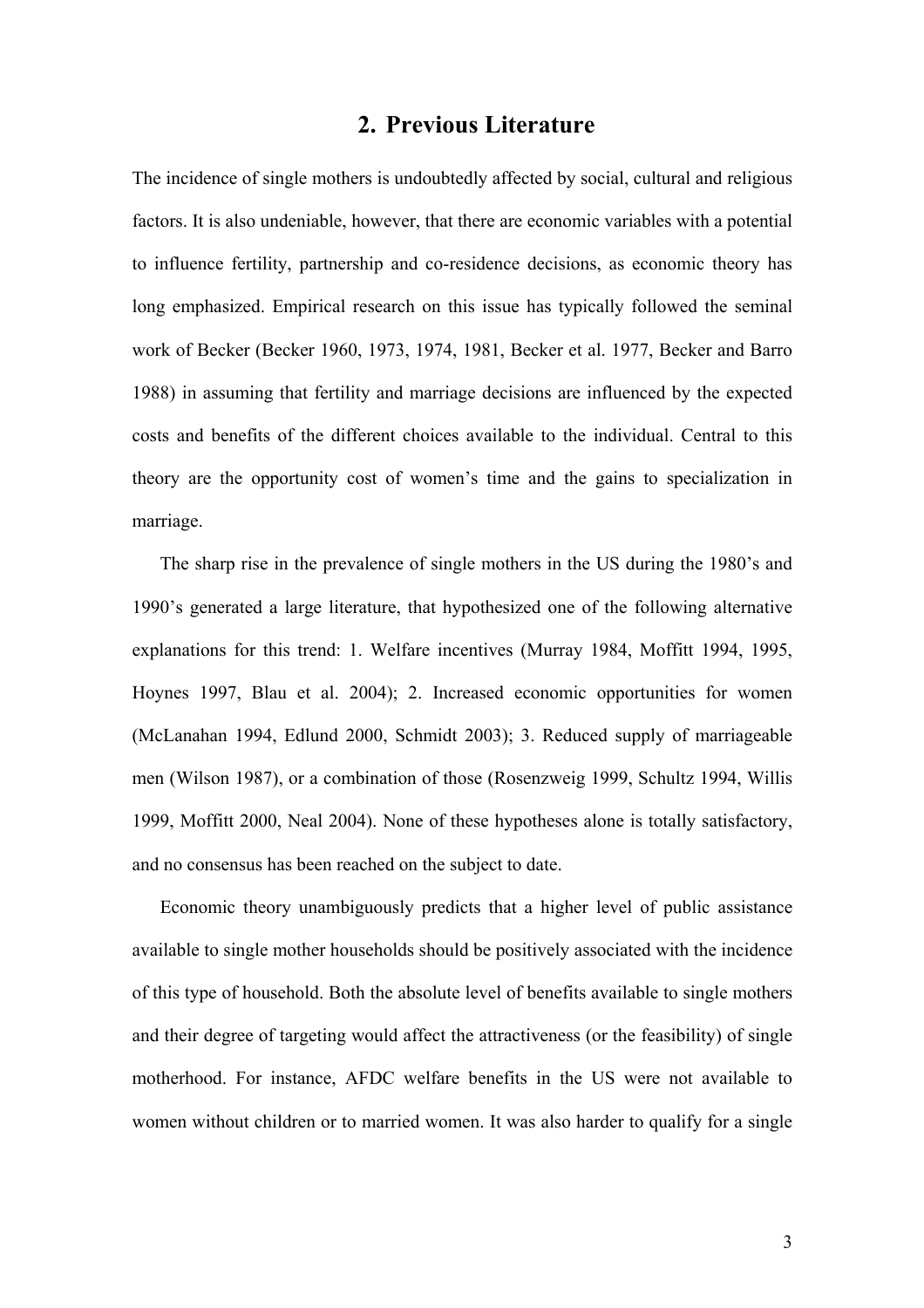#### **2. Previous Literature**

The incidence of single mothers is undoubtedly affected by social, cultural and religious factors. It is also undeniable, however, that there are economic variables with a potential to influence fertility, partnership and co-residence decisions, as economic theory has long emphasized. Empirical research on this issue has typically followed the seminal work of Becker (Becker 1960, 1973, 1974, 1981, Becker et al. 1977, Becker and Barro 1988) in assuming that fertility and marriage decisions are influenced by the expected costs and benefits of the different choices available to the individual. Central to this theory are the opportunity cost of women's time and the gains to specialization in marriage.

The sharp rise in the prevalence of single mothers in the US during the 1980's and 1990's generated a large literature, that hypothesized one of the following alternative explanations for this trend: 1. Welfare incentives (Murray 1984, Moffitt 1994, 1995, Hoynes 1997, Blau et al. 2004); 2. Increased economic opportunities for women (McLanahan 1994, Edlund 2000, Schmidt 2003); 3. Reduced supply of marriageable men (Wilson 1987), or a combination of those (Rosenzweig 1999, Schultz 1994, Willis 1999, Moffitt 2000, Neal 2004). None of these hypotheses alone is totally satisfactory, and no consensus has been reached on the subject to date.

 Economic theory unambiguously predicts that a higher level of public assistance available to single mother households should be positively associated with the incidence of this type of household. Both the absolute level of benefits available to single mothers and their degree of targeting would affect the attractiveness (or the feasibility) of single motherhood. For instance, AFDC welfare benefits in the US were not available to women without children or to married women. It was also harder to qualify for a single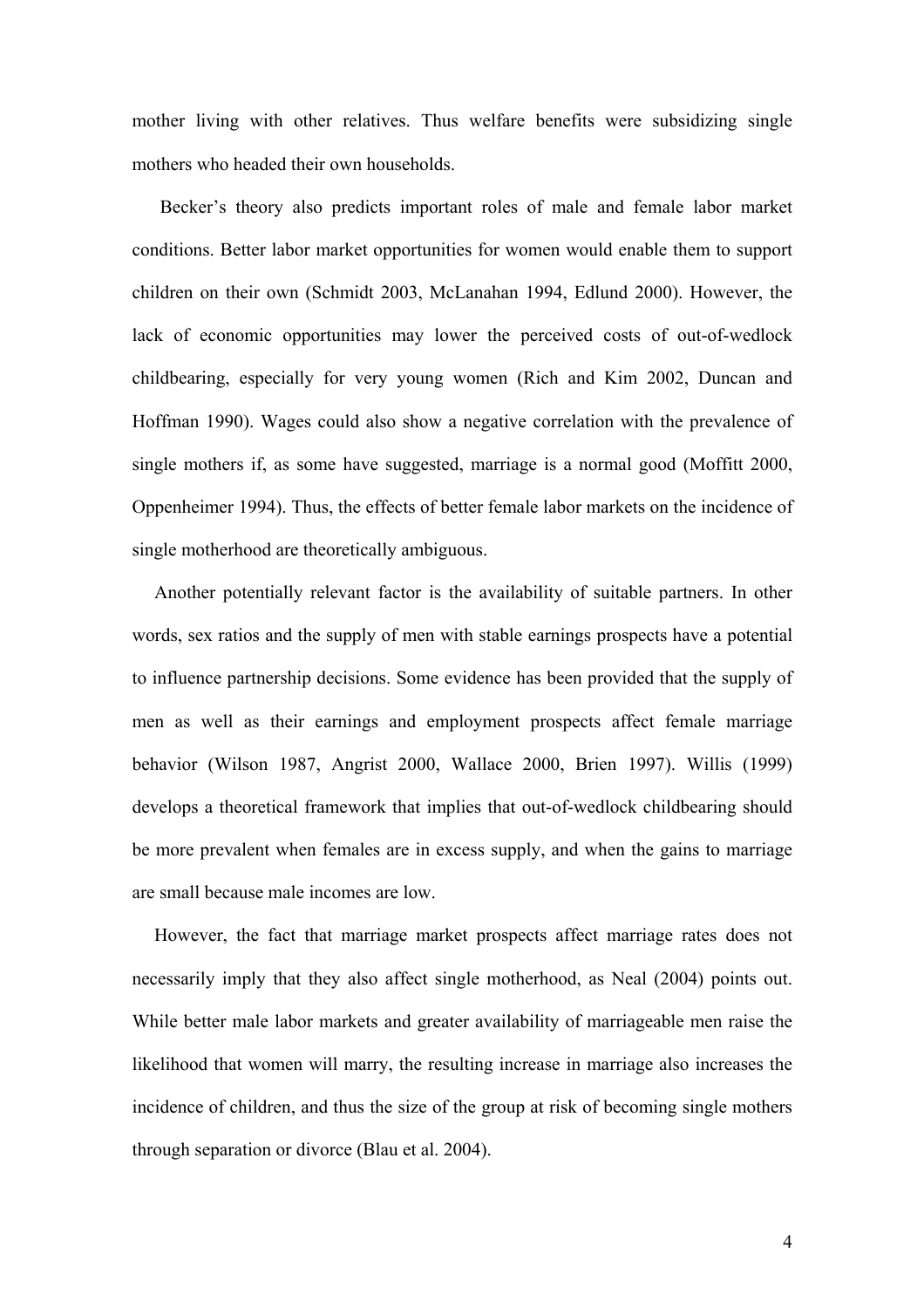mother living with other relatives. Thus welfare benefits were subsidizing single mothers who headed their own households.

 Becker's theory also predicts important roles of male and female labor market conditions. Better labor market opportunities for women would enable them to support children on their own (Schmidt 2003, McLanahan 1994, Edlund 2000). However, the lack of economic opportunities may lower the perceived costs of out-of-wedlock childbearing, especially for very young women (Rich and Kim 2002, Duncan and Hoffman 1990). Wages could also show a negative correlation with the prevalence of single mothers if, as some have suggested, marriage is a normal good (Moffitt 2000, Oppenheimer 1994). Thus, the effects of better female labor markets on the incidence of single motherhood are theoretically ambiguous.

Another potentially relevant factor is the availability of suitable partners. In other words, sex ratios and the supply of men with stable earnings prospects have a potential to influence partnership decisions. Some evidence has been provided that the supply of men as well as their earnings and employment prospects affect female marriage behavior (Wilson 1987, Angrist 2000, Wallace 2000, Brien 1997). Willis (1999) develops a theoretical framework that implies that out-of-wedlock childbearing should be more prevalent when females are in excess supply, and when the gains to marriage are small because male incomes are low.

However, the fact that marriage market prospects affect marriage rates does not necessarily imply that they also affect single motherhood, as Neal (2004) points out. While better male labor markets and greater availability of marriageable men raise the likelihood that women will marry, the resulting increase in marriage also increases the incidence of children, and thus the size of the group at risk of becoming single mothers through separation or divorce (Blau et al. 2004).

4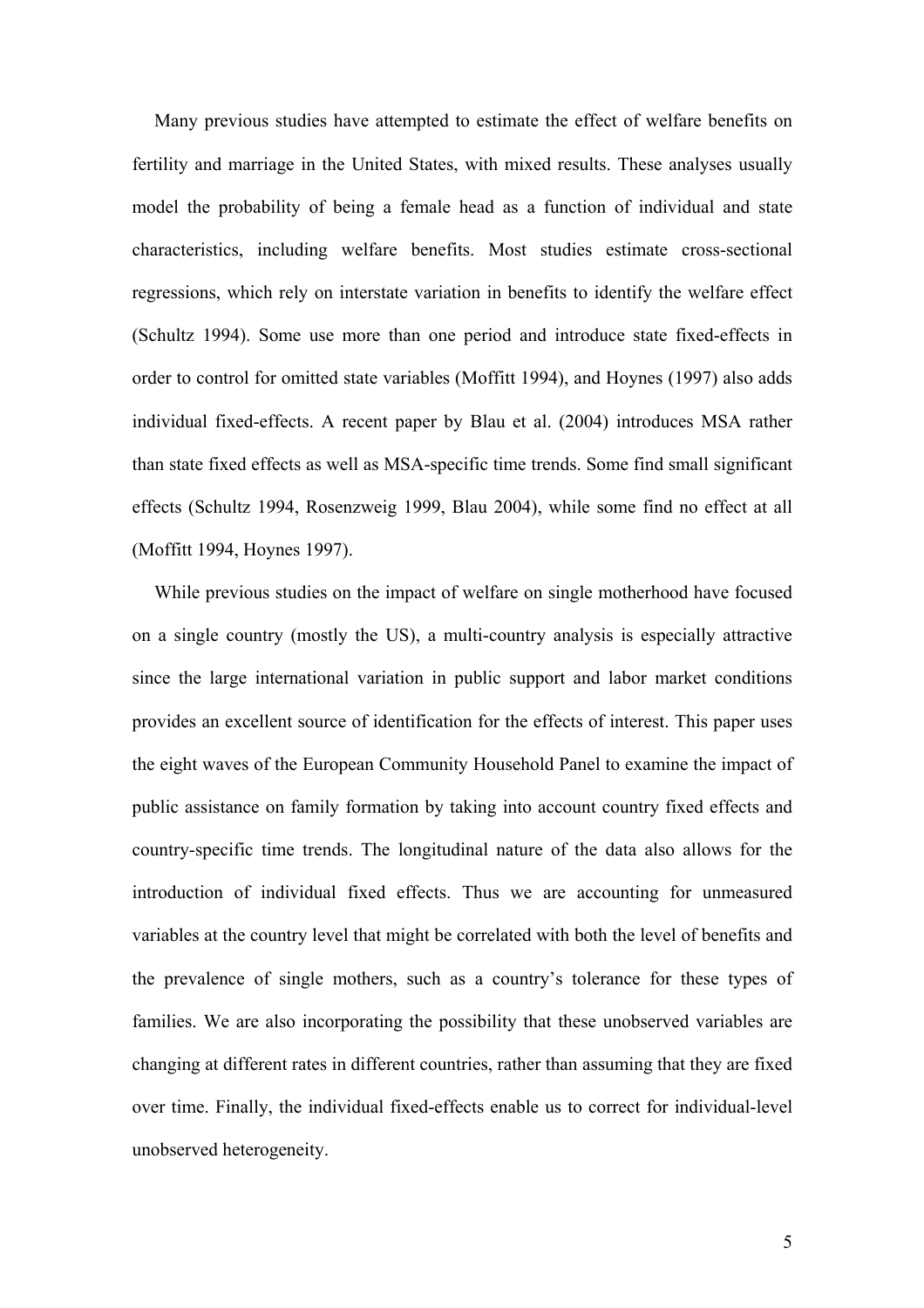Many previous studies have attempted to estimate the effect of welfare benefits on fertility and marriage in the United States, with mixed results. These analyses usually model the probability of being a female head as a function of individual and state characteristics, including welfare benefits. Most studies estimate cross-sectional regressions, which rely on interstate variation in benefits to identify the welfare effect (Schultz 1994). Some use more than one period and introduce state fixed-effects in order to control for omitted state variables (Moffitt 1994), and Hoynes (1997) also adds individual fixed-effects. A recent paper by Blau et al. (2004) introduces MSA rather than state fixed effects as well as MSA-specific time trends. Some find small significant effects (Schultz 1994, Rosenzweig 1999, Blau 2004), while some find no effect at all (Moffitt 1994, Hoynes 1997).

While previous studies on the impact of welfare on single motherhood have focused on a single country (mostly the US), a multi-country analysis is especially attractive since the large international variation in public support and labor market conditions provides an excellent source of identification for the effects of interest. This paper uses the eight waves of the European Community Household Panel to examine the impact of public assistance on family formation by taking into account country fixed effects and country-specific time trends. The longitudinal nature of the data also allows for the introduction of individual fixed effects. Thus we are accounting for unmeasured variables at the country level that might be correlated with both the level of benefits and the prevalence of single mothers, such as a country's tolerance for these types of families. We are also incorporating the possibility that these unobserved variables are changing at different rates in different countries, rather than assuming that they are fixed over time. Finally, the individual fixed-effects enable us to correct for individual-level unobserved heterogeneity.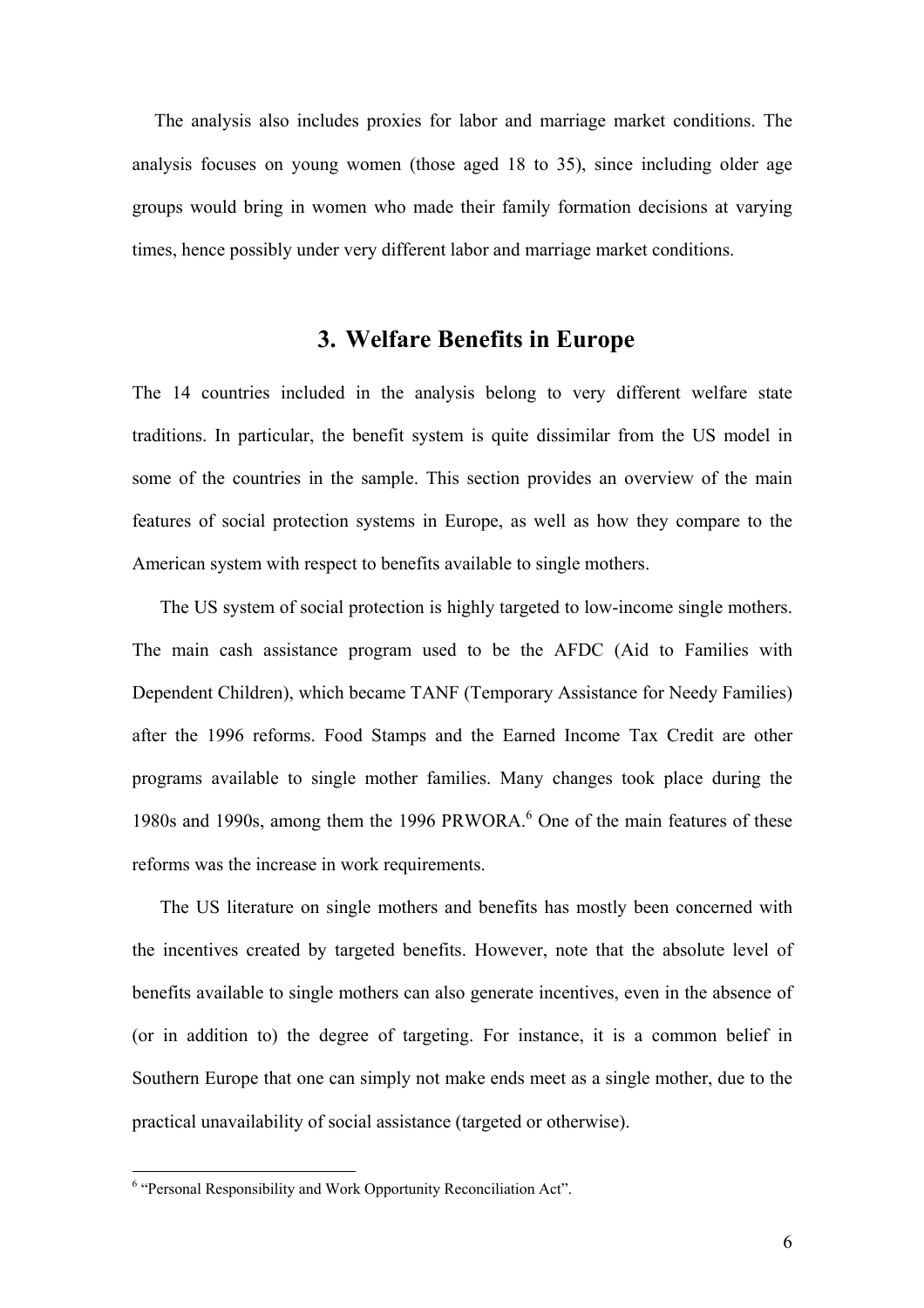The analysis also includes proxies for labor and marriage market conditions. The analysis focuses on young women (those aged 18 to 35), since including older age groups would bring in women who made their family formation decisions at varying times, hence possibly under very different labor and marriage market conditions.

# **3. Welfare Benefits in Europe**

The 14 countries included in the analysis belong to very different welfare state traditions. In particular, the benefit system is quite dissimilar from the US model in some of the countries in the sample. This section provides an overview of the main features of social protection systems in Europe, as well as how they compare to the American system with respect to benefits available to single mothers.

The US system of social protection is highly targeted to low-income single mothers. The main cash assistance program used to be the AFDC (Aid to Families with Dependent Children), which became TANF (Temporary Assistance for Needy Families) after the 1996 reforms. Food Stamps and the Earned Income Tax Credit are other programs available to single mother families. Many changes took place during the 1980s and 1990s, among them the 1996 PRWORA.<sup>6</sup> One of the main features of these reforms was the increase in work requirements.

 The US literature on single mothers and benefits has mostly been concerned with the incentives created by targeted benefits. However, note that the absolute level of benefits available to single mothers can also generate incentives, even in the absence of (or in addition to) the degree of targeting. For instance, it is a common belief in Southern Europe that one can simply not make ends meet as a single mother, due to the practical unavailability of social assistance (targeted or otherwise).

 6 "Personal Responsibility and Work Opportunity Reconciliation Act".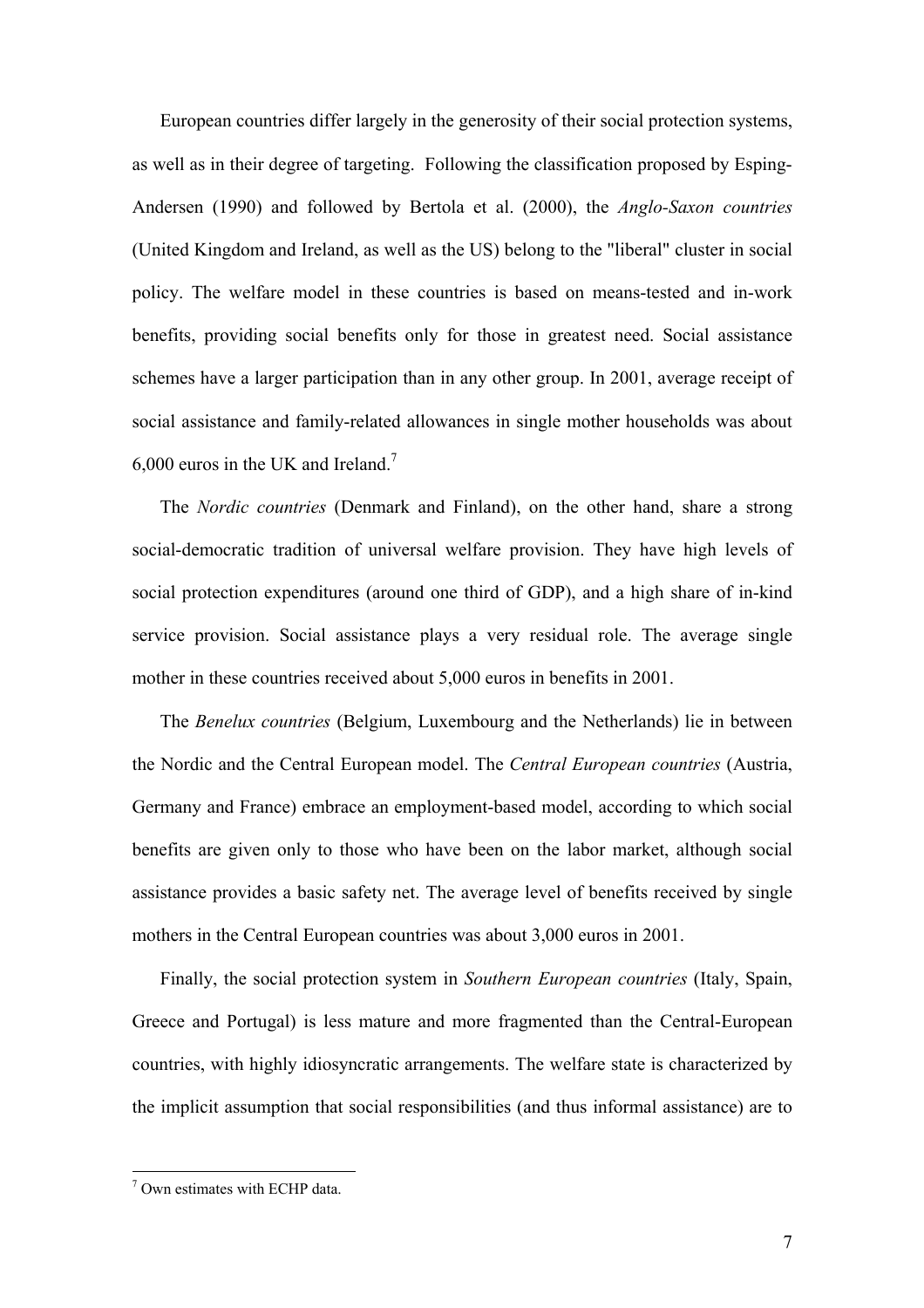European countries differ largely in the generosity of their social protection systems, as well as in their degree of targeting. Following the classification proposed by Esping-Andersen (1990) and followed by Bertola et al. (2000), the *Anglo-Saxon countries* (United Kingdom and Ireland, as well as the US) belong to the "liberal" cluster in social policy. The welfare model in these countries is based on means-tested and in-work benefits, providing social benefits only for those in greatest need. Social assistance schemes have a larger participation than in any other group. In 2001, average receipt of social assistance and family-related allowances in single mother households was about 6,000 euros in the UK and Ireland.7

The *Nordic countries* (Denmark and Finland), on the other hand, share a strong social-democratic tradition of universal welfare provision. They have high levels of social protection expenditures (around one third of GDP), and a high share of in-kind service provision. Social assistance plays a very residual role. The average single mother in these countries received about 5,000 euros in benefits in 2001.

The *Benelux countries* (Belgium, Luxembourg and the Netherlands) lie in between the Nordic and the Central European model. The *Central European countries* (Austria, Germany and France) embrace an employment-based model, according to which social benefits are given only to those who have been on the labor market, although social assistance provides a basic safety net. The average level of benefits received by single mothers in the Central European countries was about 3,000 euros in 2001.

Finally, the social protection system in *Southern European countries* (Italy, Spain, Greece and Portugal) is less mature and more fragmented than the Central-European countries, with highly idiosyncratic arrangements. The welfare state is characterized by the implicit assumption that social responsibilities (and thus informal assistance) are to

<sup>7</sup> Own estimates with ECHP data.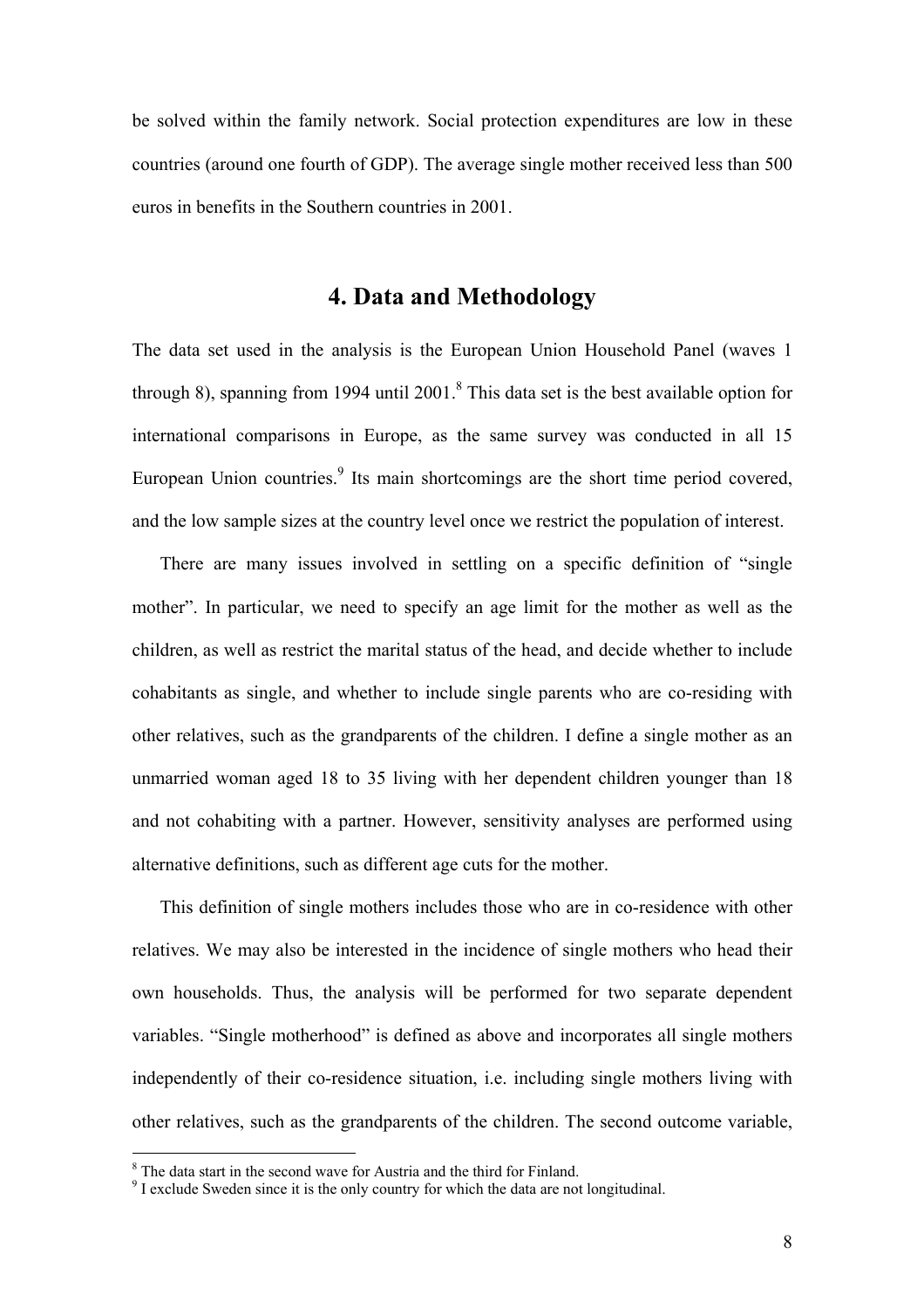be solved within the family network. Social protection expenditures are low in these countries (around one fourth of GDP). The average single mother received less than 500 euros in benefits in the Southern countries in 2001.

#### **4. Data and Methodology**

The data set used in the analysis is the European Union Household Panel (waves 1 through 8), spanning from 1994 until 2001.<sup>8</sup> This data set is the best available option for international comparisons in Europe, as the same survey was conducted in all 15 European Union countries.<sup>9</sup> Its main shortcomings are the short time period covered, and the low sample sizes at the country level once we restrict the population of interest.

There are many issues involved in settling on a specific definition of "single mother". In particular, we need to specify an age limit for the mother as well as the children, as well as restrict the marital status of the head, and decide whether to include cohabitants as single, and whether to include single parents who are co-residing with other relatives, such as the grandparents of the children. I define a single mother as an unmarried woman aged 18 to 35 living with her dependent children younger than 18 and not cohabiting with a partner. However, sensitivity analyses are performed using alternative definitions, such as different age cuts for the mother.

This definition of single mothers includes those who are in co-residence with other relatives. We may also be interested in the incidence of single mothers who head their own households. Thus, the analysis will be performed for two separate dependent variables. "Single motherhood" is defined as above and incorporates all single mothers independently of their co-residence situation, i.e. including single mothers living with other relatives, such as the grandparents of the children. The second outcome variable,

<sup>&</sup>lt;sup>8</sup> The data start in the second wave for Austria and the third for Finland.

 $9^9$  I exclude Sweden since it is the only country for which the data are not longitudinal.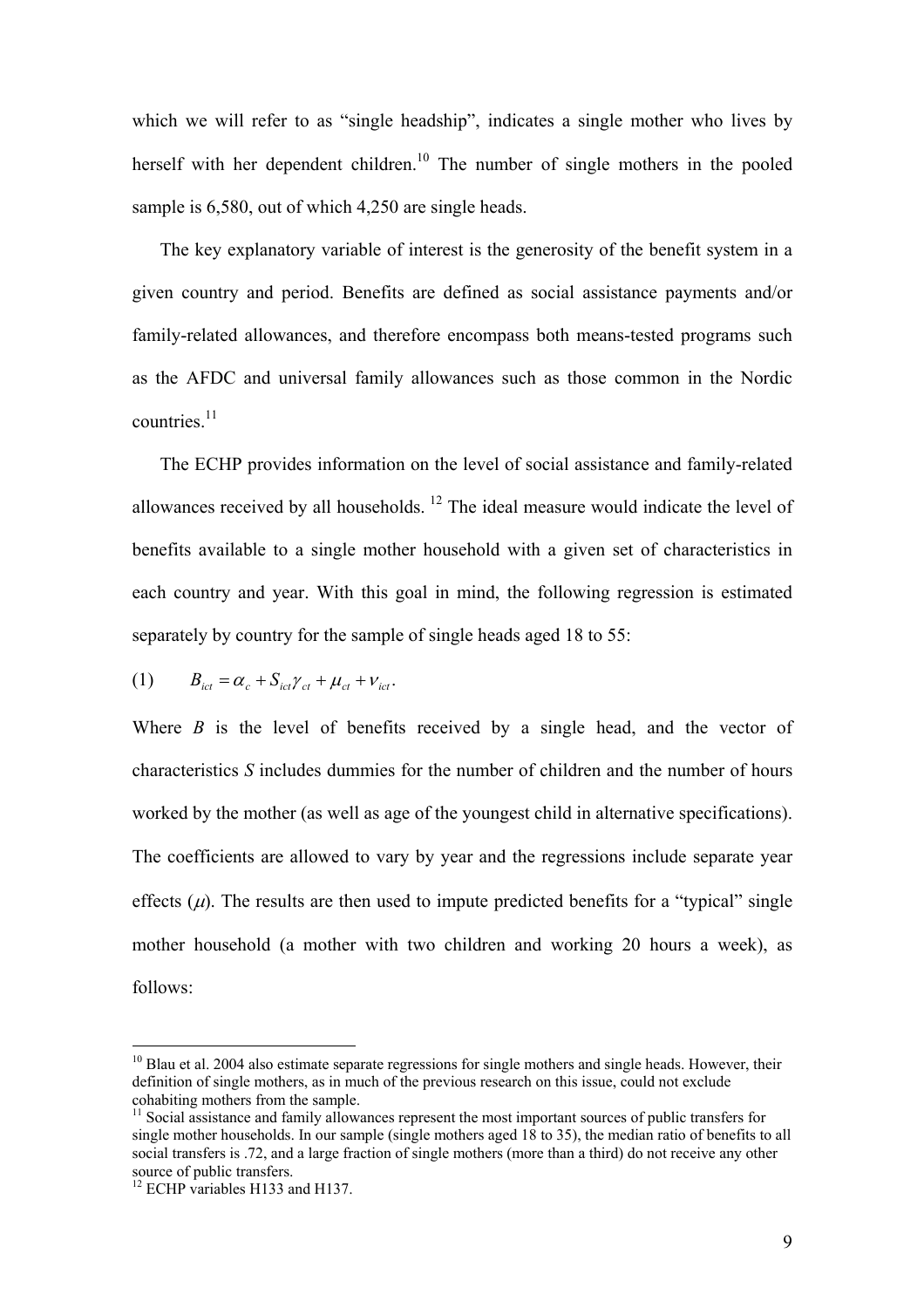which we will refer to as "single headship", indicates a single mother who lives by herself with her dependent children.<sup>10</sup> The number of single mothers in the pooled sample is 6,580, out of which 4,250 are single heads.

The key explanatory variable of interest is the generosity of the benefit system in a given country and period. Benefits are defined as social assistance payments and/or family-related allowances, and therefore encompass both means-tested programs such as the AFDC and universal family allowances such as those common in the Nordic countries. $^{11}$ 

The ECHP provides information on the level of social assistance and family-related allowances received by all households.  $^{12}$  The ideal measure would indicate the level of benefits available to a single mother household with a given set of characteristics in each country and year. With this goal in mind, the following regression is estimated separately by country for the sample of single heads aged 18 to 55:

$$
(1) \t Bict = \alpha_c + Sict \gamma_{ct} + \mu_{ct} + \nu_{ict}.
$$

Where *B* is the level of benefits received by a single head, and the vector of characteristics *S* includes dummies for the number of children and the number of hours worked by the mother (as well as age of the youngest child in alternative specifications). The coefficients are allowed to vary by year and the regressions include separate year effects  $(\mu)$ . The results are then used to impute predicted benefits for a "typical" single mother household (a mother with two children and working 20 hours a week), as follows:

 $10$  Blau et al. 2004 also estimate separate regressions for single mothers and single heads. However, their definition of single mothers, as in much of the previous research on this issue, could not exclude cohabiting mothers from the sample.

 $11$  Social assistance and family allowances represent the most important sources of public transfers for single mother households. In our sample (single mothers aged 18 to 35), the median ratio of benefits to all social transfers is .72, and a large fraction of single mothers (more than a third) do not receive any other source of public transfers.

<sup>&</sup>lt;sup>12</sup> ECHP variables H133 and H137.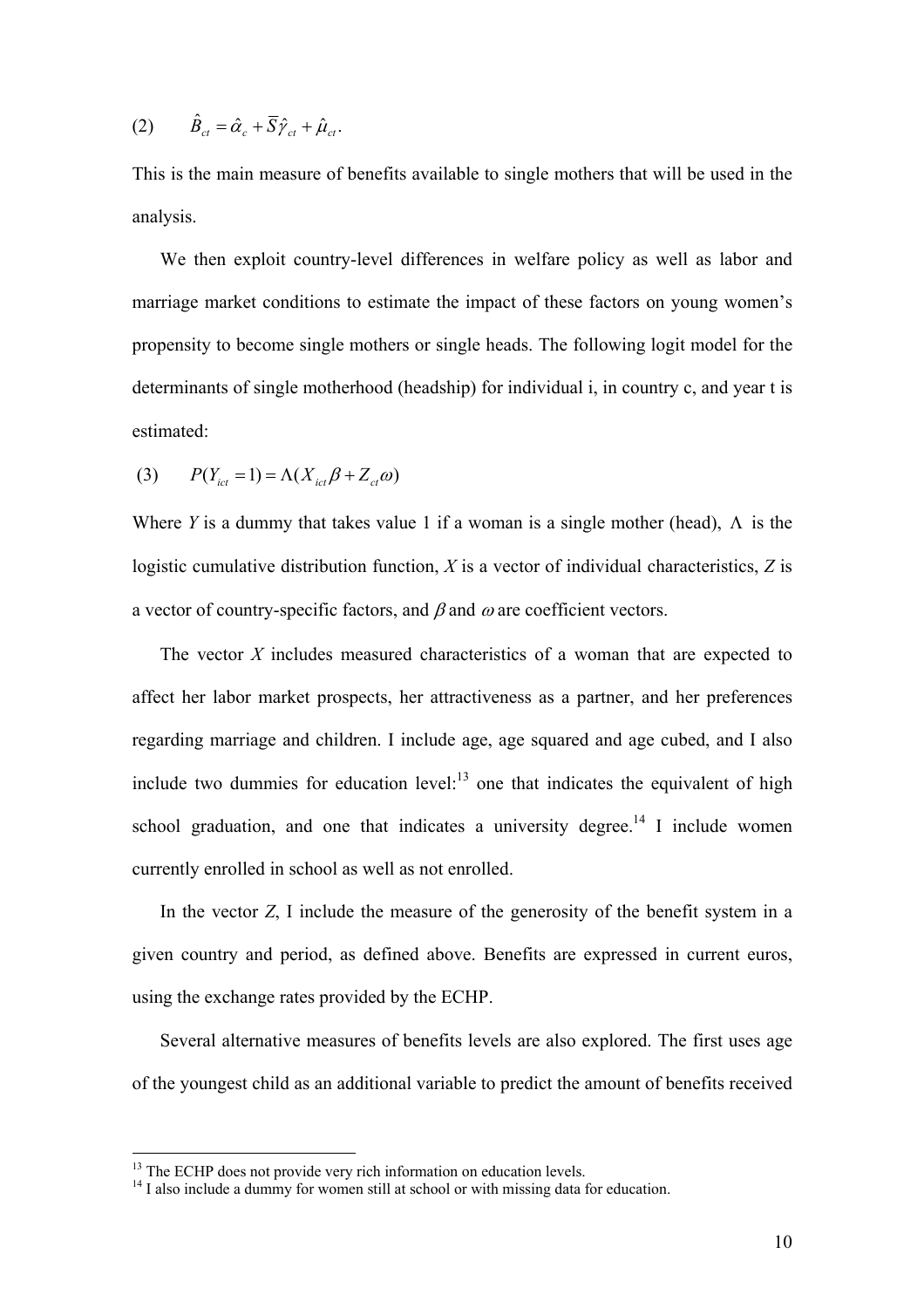$$
(2) \qquad \hat{B}_{ct} = \hat{\alpha}_c + \overline{S}\hat{\gamma}_{ct} + \hat{\mu}_{ct}.
$$

This is the main measure of benefits available to single mothers that will be used in the analysis.

We then exploit country-level differences in welfare policy as well as labor and marriage market conditions to estimate the impact of these factors on young women's propensity to become single mothers or single heads. The following logit model for the determinants of single motherhood (headship) for individual i, in country c, and year t is estimated:

$$
(3) \qquad P(Y_{ict} = 1) = \Lambda(X_{ict}\beta + Z_{ct}\omega)
$$

Where *Y* is a dummy that takes value 1 if a woman is a single mother (head), Λ is the logistic cumulative distribution function, *X* is a vector of individual characteristics, *Z* is a vector of country-specific factors, and  $\beta$  and  $\omega$  are coefficient vectors.

The vector *X* includes measured characteristics of a woman that are expected to affect her labor market prospects, her attractiveness as a partner, and her preferences regarding marriage and children. I include age, age squared and age cubed, and I also include two dummies for education level: $13$  one that indicates the equivalent of high school graduation, and one that indicates a university degree.<sup>14</sup> I include women currently enrolled in school as well as not enrolled.

In the vector *Z*, I include the measure of the generosity of the benefit system in a given country and period, as defined above. Benefits are expressed in current euros, using the exchange rates provided by the ECHP.

Several alternative measures of benefits levels are also explored. The first uses age of the youngest child as an additional variable to predict the amount of benefits received

<sup>&</sup>lt;sup>13</sup> The ECHP does not provide very rich information on education levels.

 $14$  I also include a dummy for women still at school or with missing data for education.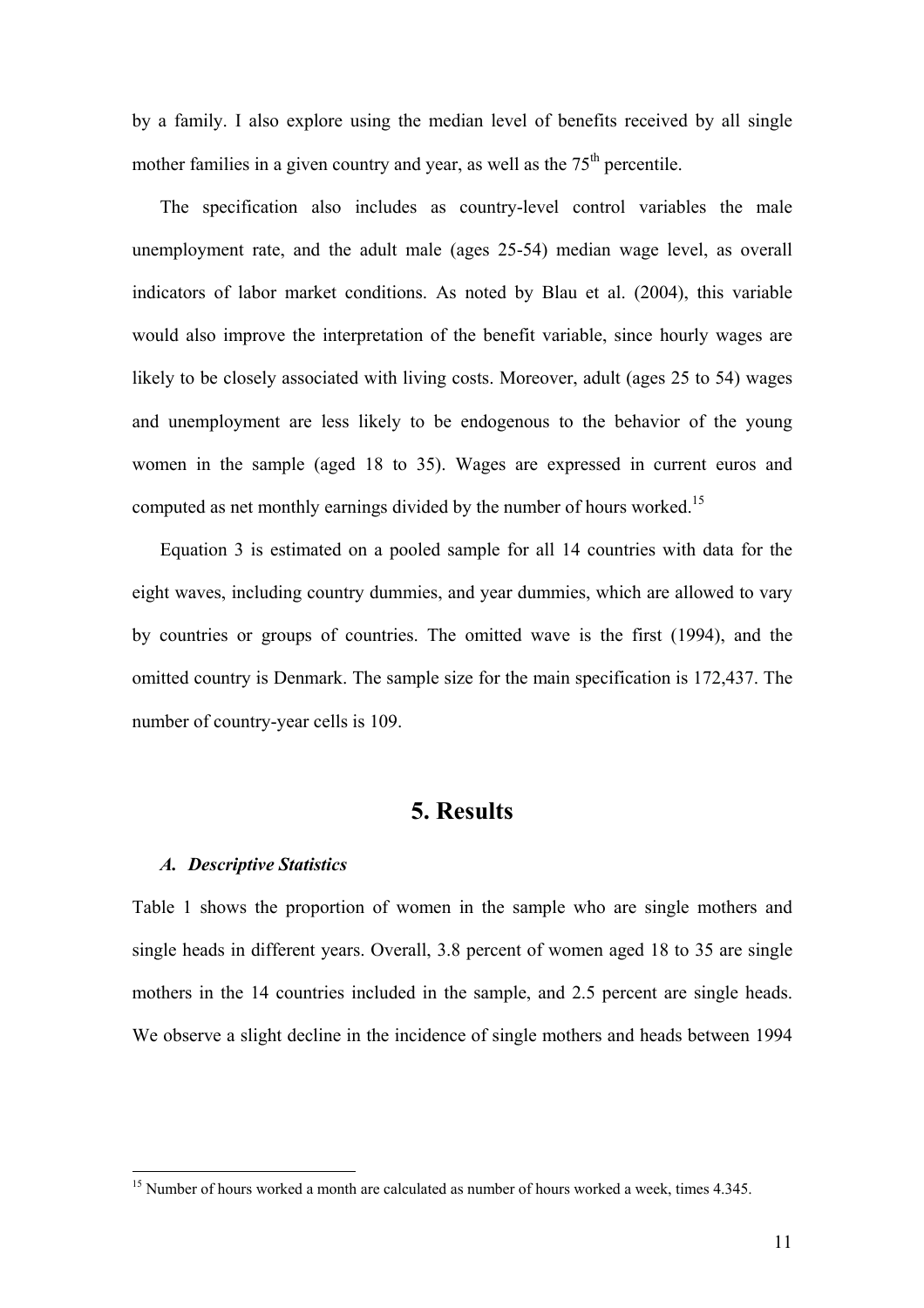by a family. I also explore using the median level of benefits received by all single mother families in a given country and year, as well as the  $75<sup>th</sup>$  percentile.

The specification also includes as country-level control variables the male unemployment rate, and the adult male (ages 25-54) median wage level, as overall indicators of labor market conditions. As noted by Blau et al. (2004), this variable would also improve the interpretation of the benefit variable, since hourly wages are likely to be closely associated with living costs. Moreover, adult (ages 25 to 54) wages and unemployment are less likely to be endogenous to the behavior of the young women in the sample (aged 18 to 35). Wages are expressed in current euros and computed as net monthly earnings divided by the number of hours worked.<sup>15</sup>

Equation 3 is estimated on a pooled sample for all 14 countries with data for the eight waves, including country dummies, and year dummies, which are allowed to vary by countries or groups of countries. The omitted wave is the first (1994), and the omitted country is Denmark. The sample size for the main specification is 172,437. The number of country-year cells is 109.

# **5. Results**

#### *A. Descriptive Statistics*

 $\overline{a}$ 

Table 1 shows the proportion of women in the sample who are single mothers and single heads in different years. Overall, 3.8 percent of women aged 18 to 35 are single mothers in the 14 countries included in the sample, and 2.5 percent are single heads. We observe a slight decline in the incidence of single mothers and heads between 1994

 $15$  Number of hours worked a month are calculated as number of hours worked a week, times 4.345.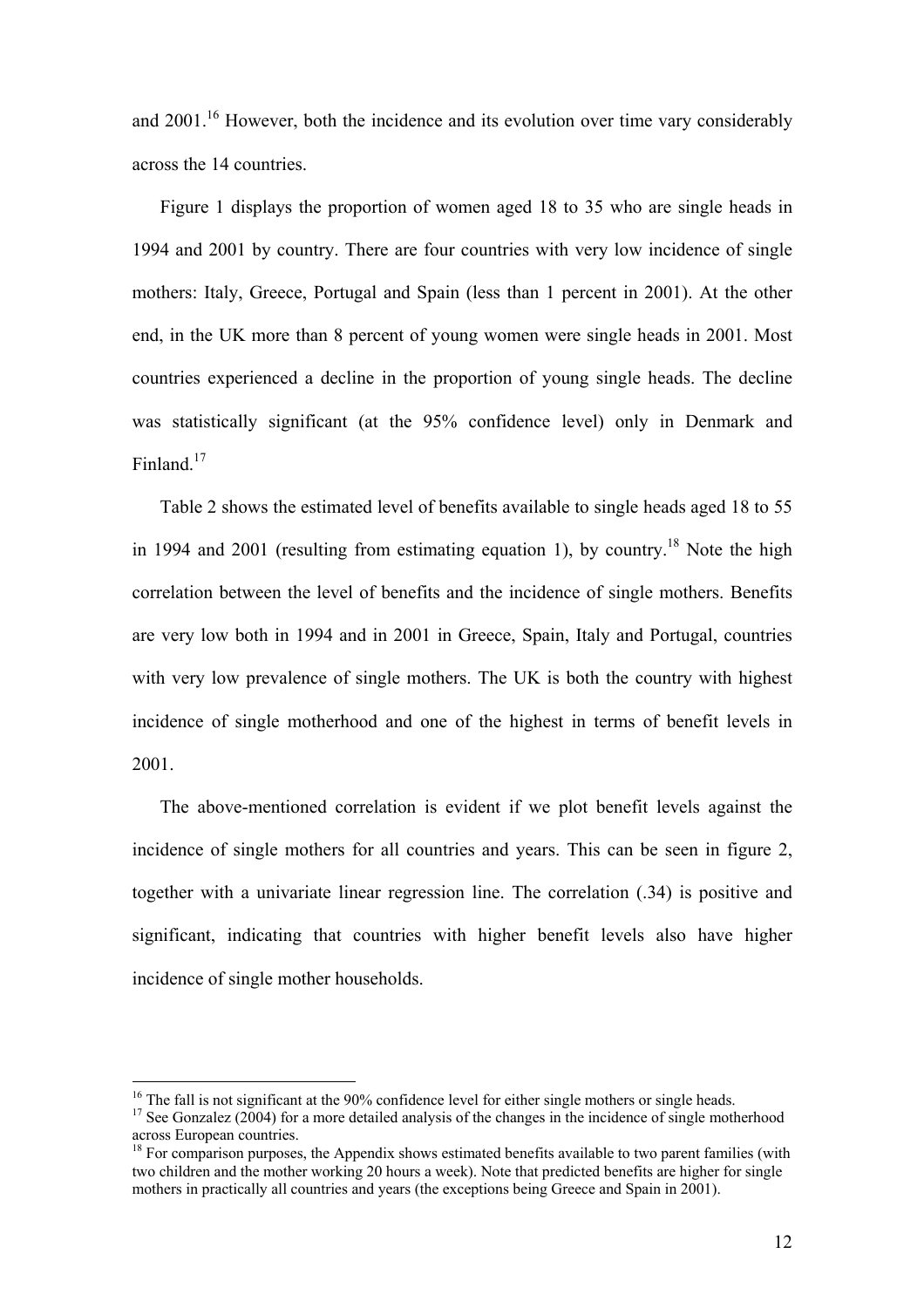and 2001.<sup>16</sup> However, both the incidence and its evolution over time vary considerably across the 14 countries.

Figure 1 displays the proportion of women aged 18 to 35 who are single heads in 1994 and 2001 by country. There are four countries with very low incidence of single mothers: Italy, Greece, Portugal and Spain (less than 1 percent in 2001). At the other end, in the UK more than 8 percent of young women were single heads in 2001. Most countries experienced a decline in the proportion of young single heads. The decline was statistically significant (at the 95% confidence level) only in Denmark and Finland.<sup>17</sup>

Table 2 shows the estimated level of benefits available to single heads aged 18 to 55 in 1994 and 2001 (resulting from estimating equation 1), by country.<sup>18</sup> Note the high correlation between the level of benefits and the incidence of single mothers. Benefits are very low both in 1994 and in 2001 in Greece, Spain, Italy and Portugal, countries with very low prevalence of single mothers. The UK is both the country with highest incidence of single motherhood and one of the highest in terms of benefit levels in 2001.

The above-mentioned correlation is evident if we plot benefit levels against the incidence of single mothers for all countries and years. This can be seen in figure 2, together with a univariate linear regression line. The correlation (.34) is positive and significant, indicating that countries with higher benefit levels also have higher incidence of single mother households.

<sup>&</sup>lt;sup>16</sup> The fall is not significant at the 90% confidence level for either single mothers or single heads. <sup>17</sup> See Gonzalez (2004) for a more detailed analysis of the changes in the incidence of single motherhood across European countries.

<sup>&</sup>lt;sup>18</sup> For comparison purposes, the Appendix shows estimated benefits available to two parent families (with two children and the mother working 20 hours a week). Note that predicted benefits are higher for single mothers in practically all countries and years (the exceptions being Greece and Spain in 2001).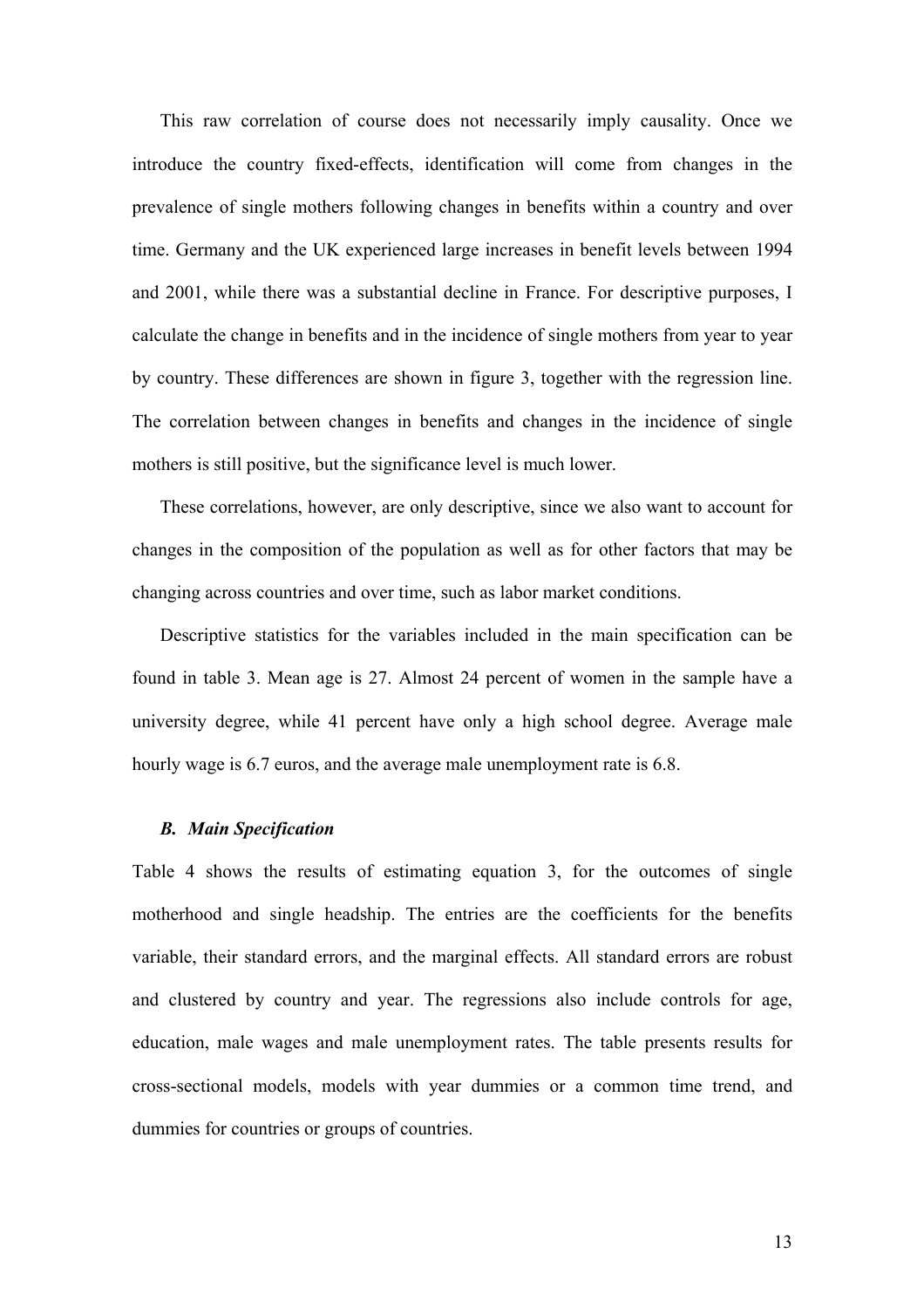This raw correlation of course does not necessarily imply causality. Once we introduce the country fixed-effects, identification will come from changes in the prevalence of single mothers following changes in benefits within a country and over time. Germany and the UK experienced large increases in benefit levels between 1994 and 2001, while there was a substantial decline in France. For descriptive purposes, I calculate the change in benefits and in the incidence of single mothers from year to year by country. These differences are shown in figure 3, together with the regression line. The correlation between changes in benefits and changes in the incidence of single mothers is still positive, but the significance level is much lower.

These correlations, however, are only descriptive, since we also want to account for changes in the composition of the population as well as for other factors that may be changing across countries and over time, such as labor market conditions.

Descriptive statistics for the variables included in the main specification can be found in table 3. Mean age is 27. Almost 24 percent of women in the sample have a university degree, while 41 percent have only a high school degree. Average male hourly wage is 6.7 euros, and the average male unemployment rate is 6.8.

#### *B. Main Specification*

Table 4 shows the results of estimating equation 3, for the outcomes of single motherhood and single headship. The entries are the coefficients for the benefits variable, their standard errors, and the marginal effects. All standard errors are robust and clustered by country and year. The regressions also include controls for age, education, male wages and male unemployment rates. The table presents results for cross-sectional models, models with year dummies or a common time trend, and dummies for countries or groups of countries.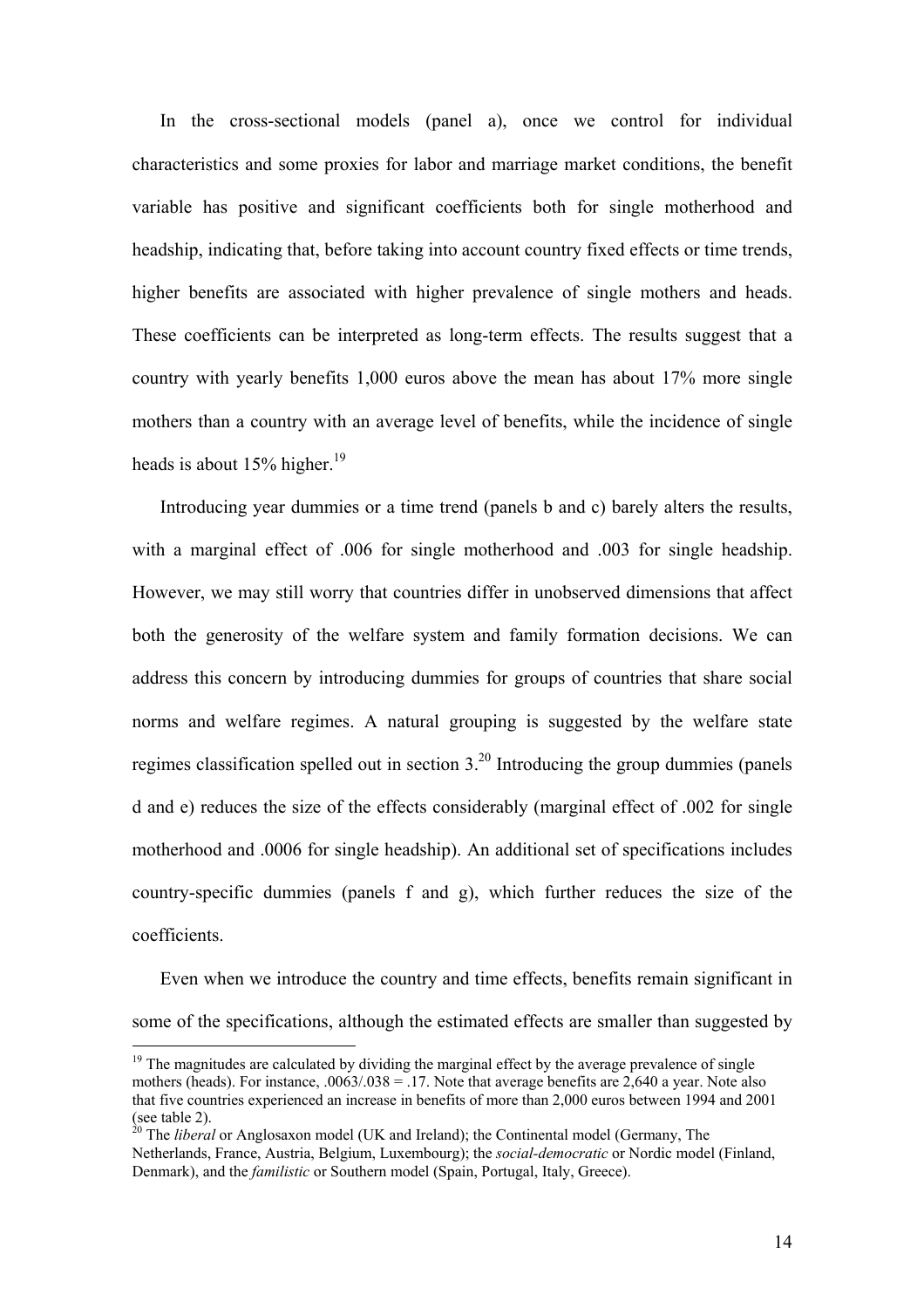In the cross-sectional models (panel a), once we control for individual characteristics and some proxies for labor and marriage market conditions, the benefit variable has positive and significant coefficients both for single motherhood and headship, indicating that, before taking into account country fixed effects or time trends, higher benefits are associated with higher prevalence of single mothers and heads. These coefficients can be interpreted as long-term effects. The results suggest that a country with yearly benefits 1,000 euros above the mean has about 17% more single mothers than a country with an average level of benefits, while the incidence of single heads is about 15% higher.<sup>19</sup>

Introducing year dummies or a time trend (panels b and c) barely alters the results, with a marginal effect of .006 for single motherhood and .003 for single headship. However, we may still worry that countries differ in unobserved dimensions that affect both the generosity of the welfare system and family formation decisions. We can address this concern by introducing dummies for groups of countries that share social norms and welfare regimes. A natural grouping is suggested by the welfare state regimes classification spelled out in section  $3<sup>20</sup>$  Introducing the group dummies (panels d and e) reduces the size of the effects considerably (marginal effect of .002 for single motherhood and .0006 for single headship). An additional set of specifications includes country-specific dummies (panels f and g), which further reduces the size of the coefficients.

Even when we introduce the country and time effects, benefits remain significant in some of the specifications, although the estimated effects are smaller than suggested by

 $19$  The magnitudes are calculated by dividing the marginal effect by the average prevalence of single mothers (heads). For instance,  $.0063/038 = .17$ . Note that average benefits are 2,640 a year. Note also that five countries experienced an increase in benefits of more than 2,000 euros between 1994 and 2001 (see table 2).

<sup>&</sup>lt;sup>20</sup> The *liberal* or Anglosaxon model (UK and Ireland); the Continental model (Germany, The Netherlands, France, Austria, Belgium, Luxembourg); the *social-democratic* or Nordic model (Finland, Denmark), and the *familistic* or Southern model (Spain, Portugal, Italy, Greece).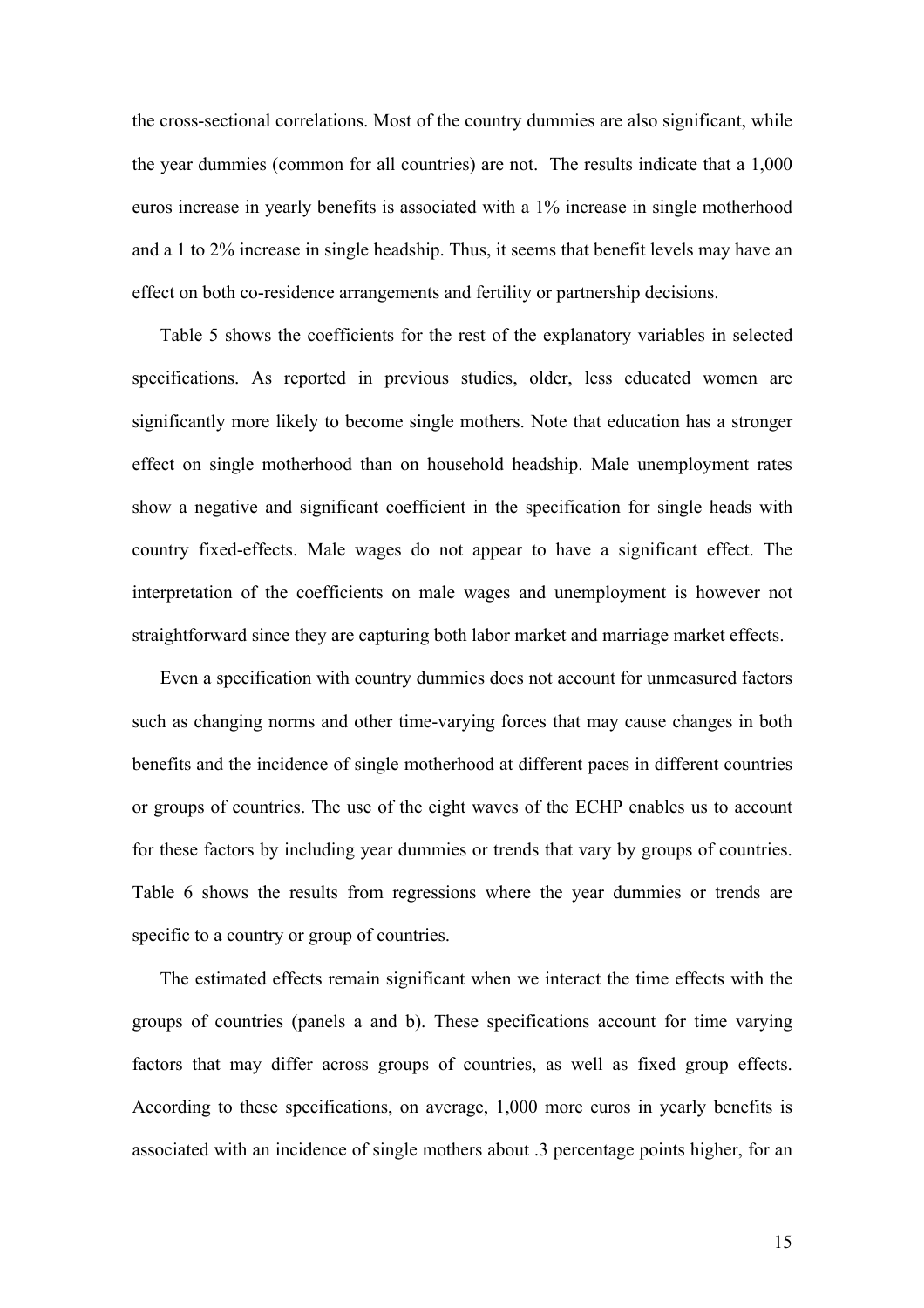the cross-sectional correlations. Most of the country dummies are also significant, while the year dummies (common for all countries) are not. The results indicate that a 1,000 euros increase in yearly benefits is associated with a 1% increase in single motherhood and a 1 to 2% increase in single headship. Thus, it seems that benefit levels may have an effect on both co-residence arrangements and fertility or partnership decisions.

Table 5 shows the coefficients for the rest of the explanatory variables in selected specifications. As reported in previous studies, older, less educated women are significantly more likely to become single mothers. Note that education has a stronger effect on single motherhood than on household headship. Male unemployment rates show a negative and significant coefficient in the specification for single heads with country fixed-effects. Male wages do not appear to have a significant effect. The interpretation of the coefficients on male wages and unemployment is however not straightforward since they are capturing both labor market and marriage market effects.

Even a specification with country dummies does not account for unmeasured factors such as changing norms and other time-varying forces that may cause changes in both benefits and the incidence of single motherhood at different paces in different countries or groups of countries. The use of the eight waves of the ECHP enables us to account for these factors by including year dummies or trends that vary by groups of countries. Table 6 shows the results from regressions where the year dummies or trends are specific to a country or group of countries.

The estimated effects remain significant when we interact the time effects with the groups of countries (panels a and b). These specifications account for time varying factors that may differ across groups of countries, as well as fixed group effects. According to these specifications, on average, 1,000 more euros in yearly benefits is associated with an incidence of single mothers about .3 percentage points higher, for an

15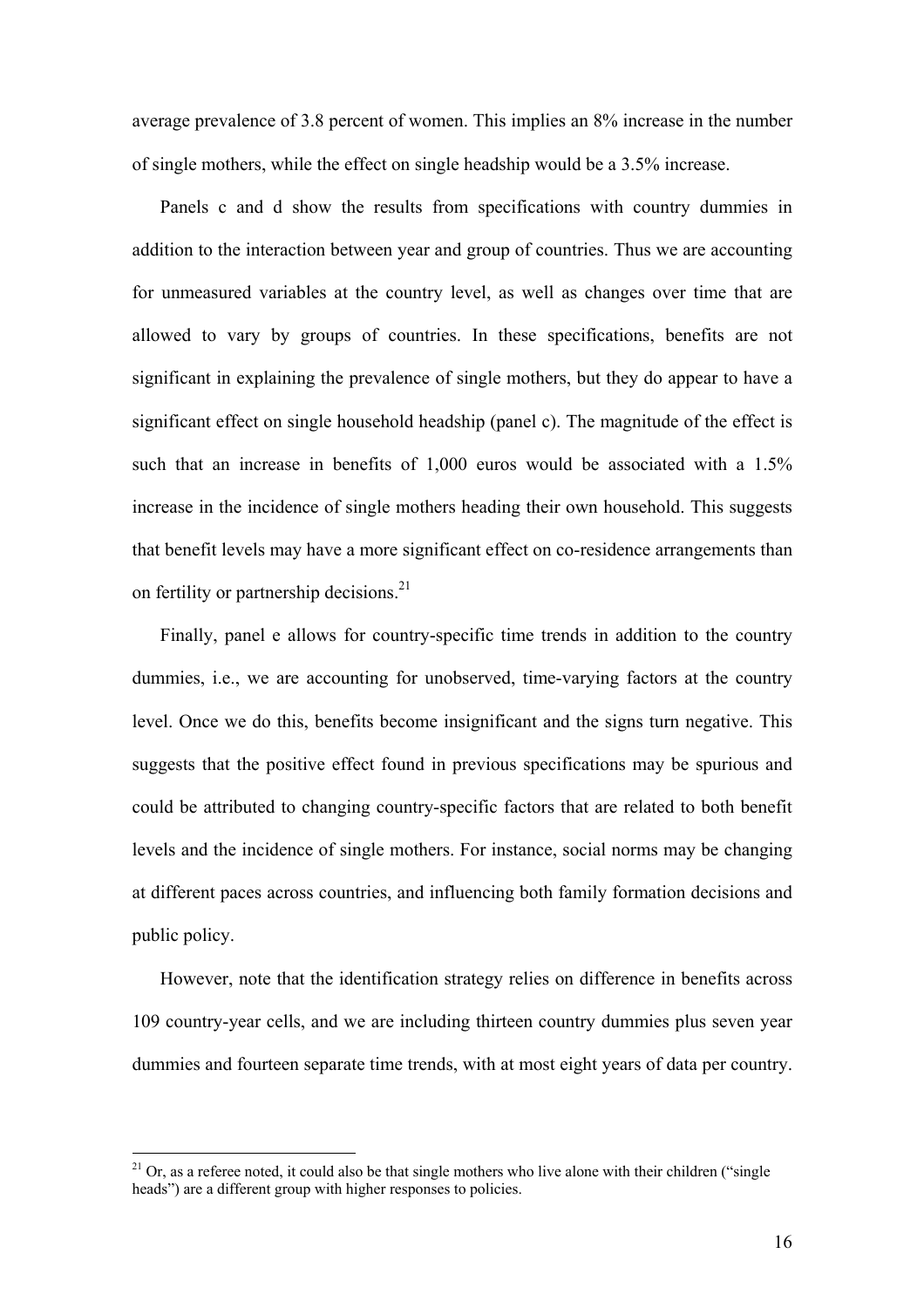average prevalence of 3.8 percent of women. This implies an 8% increase in the number of single mothers, while the effect on single headship would be a 3.5% increase.

Panels c and d show the results from specifications with country dummies in addition to the interaction between year and group of countries. Thus we are accounting for unmeasured variables at the country level, as well as changes over time that are allowed to vary by groups of countries. In these specifications, benefits are not significant in explaining the prevalence of single mothers, but they do appear to have a significant effect on single household headship (panel c). The magnitude of the effect is such that an increase in benefits of 1,000 euros would be associated with a 1.5% increase in the incidence of single mothers heading their own household. This suggests that benefit levels may have a more significant effect on co-residence arrangements than on fertility or partnership decisions. $21$ 

Finally, panel e allows for country-specific time trends in addition to the country dummies, i.e., we are accounting for unobserved, time-varying factors at the country level. Once we do this, benefits become insignificant and the signs turn negative. This suggests that the positive effect found in previous specifications may be spurious and could be attributed to changing country-specific factors that are related to both benefit levels and the incidence of single mothers. For instance, social norms may be changing at different paces across countries, and influencing both family formation decisions and public policy.

However, note that the identification strategy relies on difference in benefits across 109 country-year cells, and we are including thirteen country dummies plus seven year dummies and fourteen separate time trends, with at most eight years of data per country.

 $21$  Or, as a referee noted, it could also be that single mothers who live alone with their children ("single") heads") are a different group with higher responses to policies.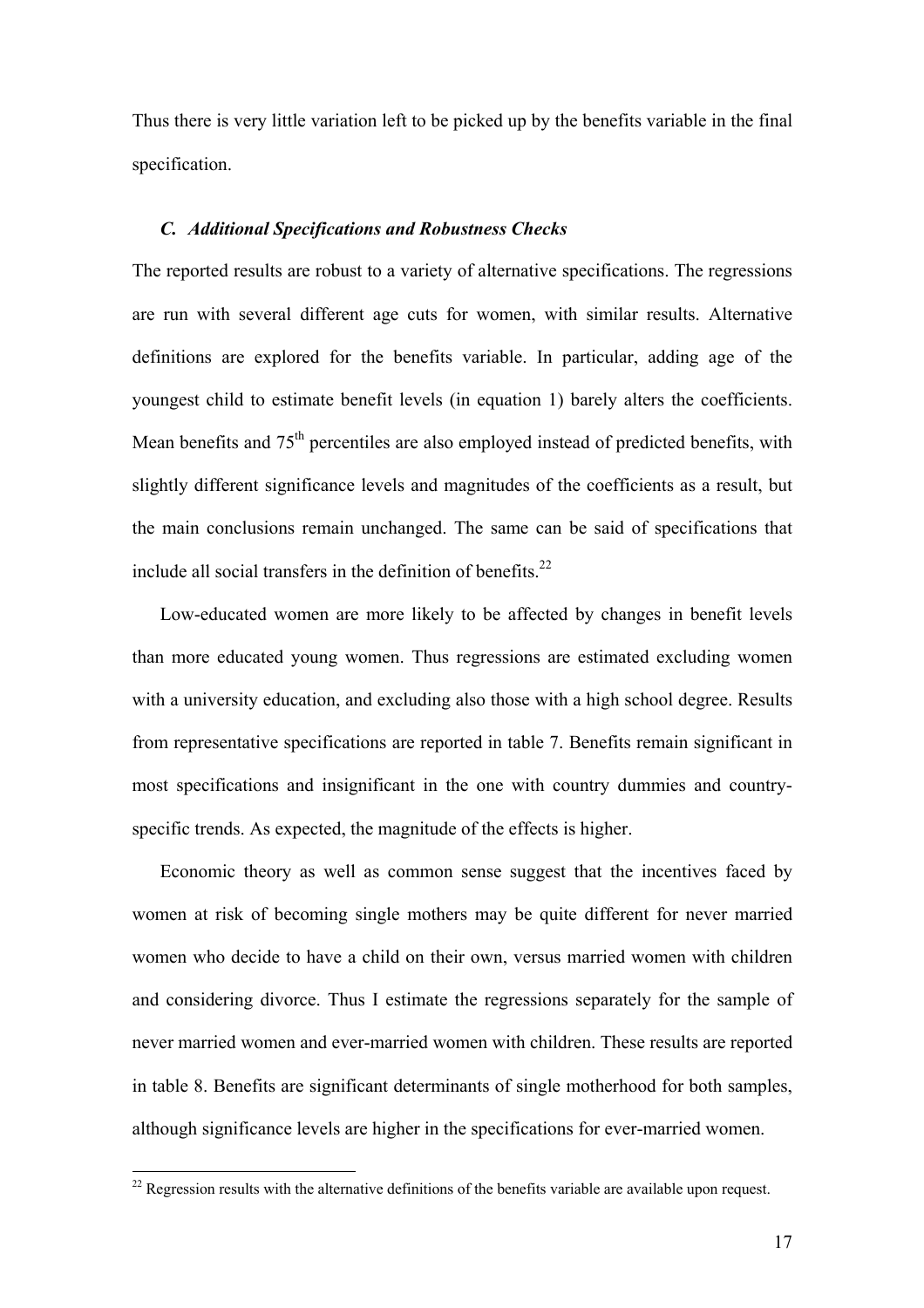Thus there is very little variation left to be picked up by the benefits variable in the final specification.

#### *C. Additional Specifications and Robustness Checks*

The reported results are robust to a variety of alternative specifications. The regressions are run with several different age cuts for women, with similar results. Alternative definitions are explored for the benefits variable. In particular, adding age of the youngest child to estimate benefit levels (in equation 1) barely alters the coefficients. Mean benefits and  $75<sup>th</sup>$  percentiles are also employed instead of predicted benefits, with slightly different significance levels and magnitudes of the coefficients as a result, but the main conclusions remain unchanged. The same can be said of specifications that include all social transfers in the definition of benefits. $^{22}$ 

Low-educated women are more likely to be affected by changes in benefit levels than more educated young women. Thus regressions are estimated excluding women with a university education, and excluding also those with a high school degree. Results from representative specifications are reported in table 7. Benefits remain significant in most specifications and insignificant in the one with country dummies and countryspecific trends. As expected, the magnitude of the effects is higher.

Economic theory as well as common sense suggest that the incentives faced by women at risk of becoming single mothers may be quite different for never married women who decide to have a child on their own, versus married women with children and considering divorce. Thus I estimate the regressions separately for the sample of never married women and ever-married women with children. These results are reported in table 8. Benefits are significant determinants of single motherhood for both samples, although significance levels are higher in the specifications for ever-married women.

 $^{22}$  Regression results with the alternative definitions of the benefits variable are available upon request.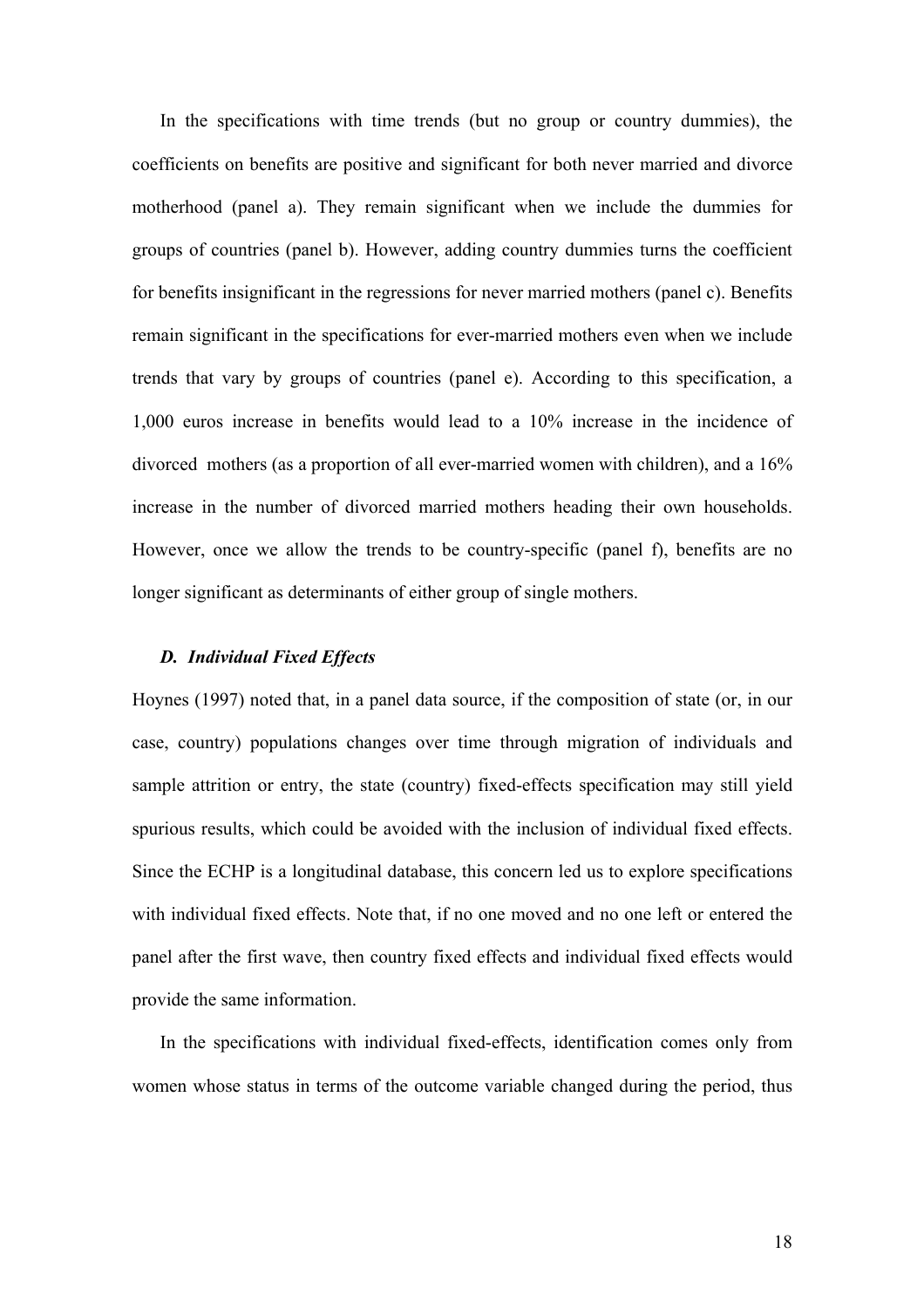In the specifications with time trends (but no group or country dummies), the coefficients on benefits are positive and significant for both never married and divorce motherhood (panel a). They remain significant when we include the dummies for groups of countries (panel b). However, adding country dummies turns the coefficient for benefits insignificant in the regressions for never married mothers (panel c). Benefits remain significant in the specifications for ever-married mothers even when we include trends that vary by groups of countries (panel e). According to this specification, a 1,000 euros increase in benefits would lead to a 10% increase in the incidence of divorced mothers (as a proportion of all ever-married women with children), and a 16% increase in the number of divorced married mothers heading their own households. However, once we allow the trends to be country-specific (panel f), benefits are no longer significant as determinants of either group of single mothers.

#### *D. Individual Fixed Effects*

Hoynes (1997) noted that, in a panel data source, if the composition of state (or, in our case, country) populations changes over time through migration of individuals and sample attrition or entry, the state (country) fixed-effects specification may still yield spurious results, which could be avoided with the inclusion of individual fixed effects. Since the ECHP is a longitudinal database, this concern led us to explore specifications with individual fixed effects. Note that, if no one moved and no one left or entered the panel after the first wave, then country fixed effects and individual fixed effects would provide the same information.

In the specifications with individual fixed-effects, identification comes only from women whose status in terms of the outcome variable changed during the period, thus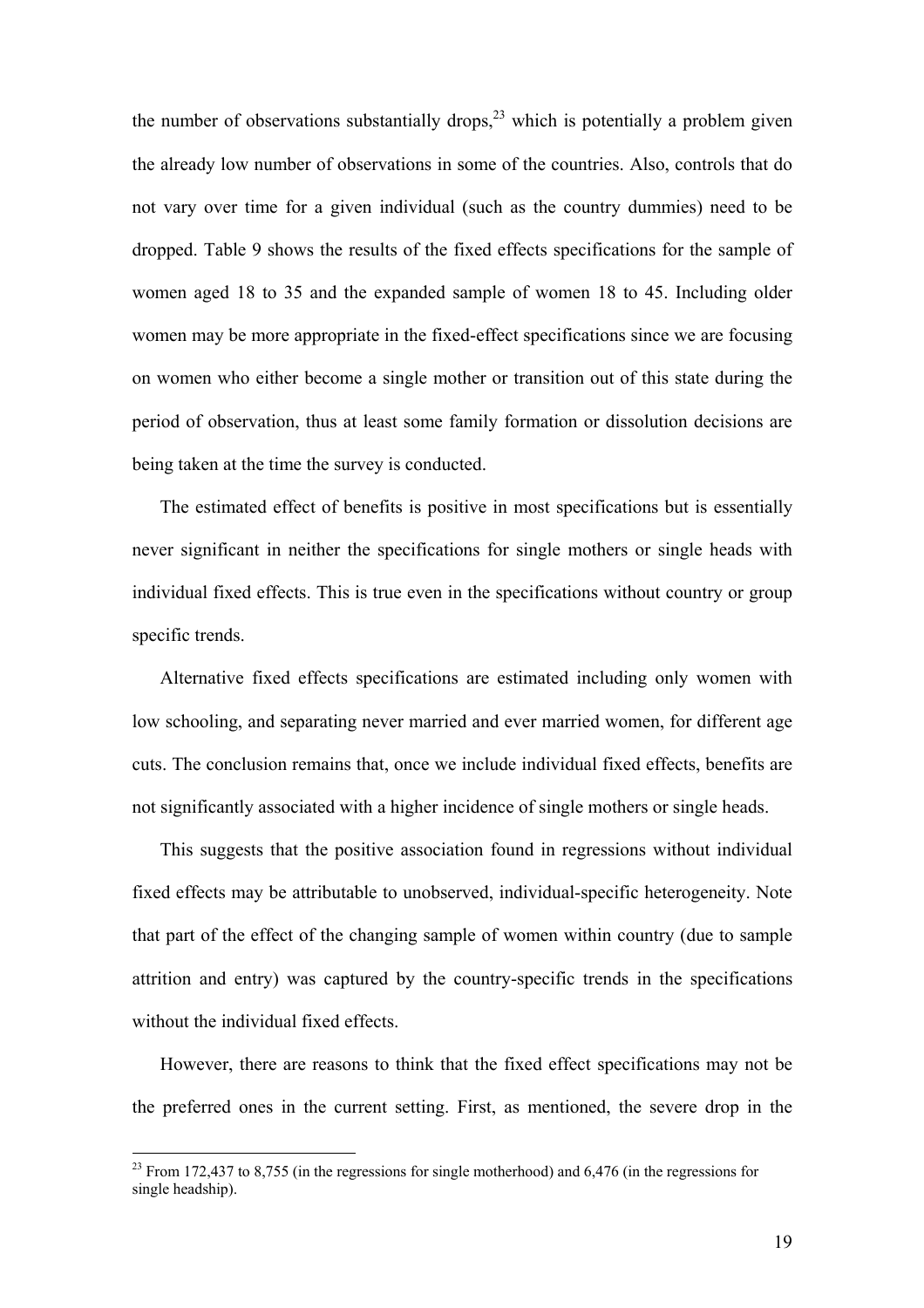the number of observations substantially drops, $^{23}$  which is potentially a problem given the already low number of observations in some of the countries. Also, controls that do not vary over time for a given individual (such as the country dummies) need to be dropped. Table 9 shows the results of the fixed effects specifications for the sample of women aged 18 to 35 and the expanded sample of women 18 to 45. Including older women may be more appropriate in the fixed-effect specifications since we are focusing on women who either become a single mother or transition out of this state during the period of observation, thus at least some family formation or dissolution decisions are being taken at the time the survey is conducted.

The estimated effect of benefits is positive in most specifications but is essentially never significant in neither the specifications for single mothers or single heads with individual fixed effects. This is true even in the specifications without country or group specific trends.

Alternative fixed effects specifications are estimated including only women with low schooling, and separating never married and ever married women, for different age cuts. The conclusion remains that, once we include individual fixed effects, benefits are not significantly associated with a higher incidence of single mothers or single heads.

This suggests that the positive association found in regressions without individual fixed effects may be attributable to unobserved, individual-specific heterogeneity. Note that part of the effect of the changing sample of women within country (due to sample attrition and entry) was captured by the country-specific trends in the specifications without the individual fixed effects.

However, there are reasons to think that the fixed effect specifications may not be the preferred ones in the current setting. First, as mentioned, the severe drop in the

 $^{23}$  From 172,437 to 8,755 (in the regressions for single motherhood) and 6,476 (in the regressions for single headship).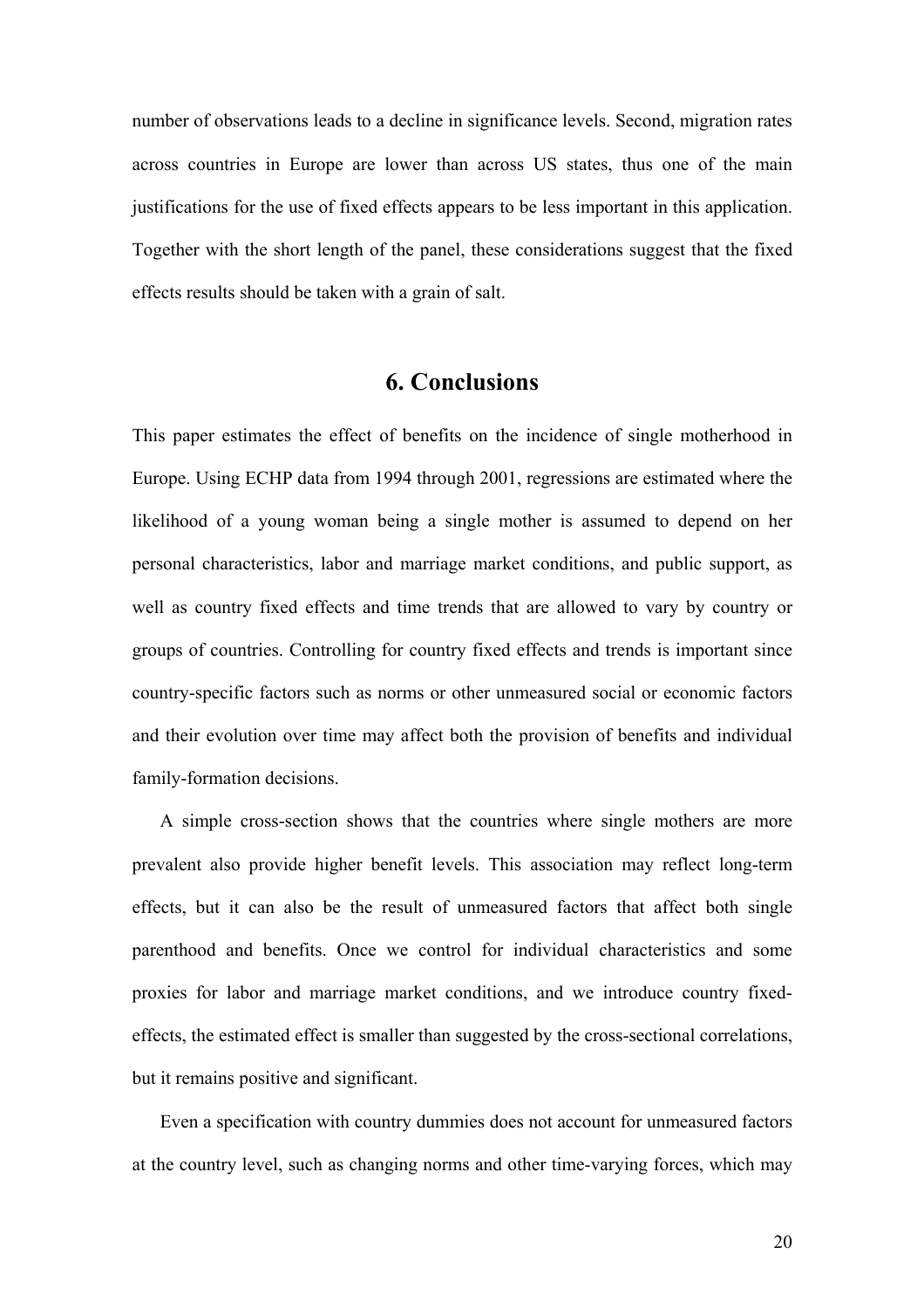number of observations leads to a decline in significance levels. Second, migration rates across countries in Europe are lower than across US states, thus one of the main justifications for the use of fixed effects appears to be less important in this application. Together with the short length of the panel, these considerations suggest that the fixed effects results should be taken with a grain of salt.

### **6. Conclusions**

This paper estimates the effect of benefits on the incidence of single motherhood in Europe. Using ECHP data from 1994 through 2001, regressions are estimated where the likelihood of a young woman being a single mother is assumed to depend on her personal characteristics, labor and marriage market conditions, and public support, as well as country fixed effects and time trends that are allowed to vary by country or groups of countries. Controlling for country fixed effects and trends is important since country-specific factors such as norms or other unmeasured social or economic factors and their evolution over time may affect both the provision of benefits and individual family-formation decisions.

A simple cross-section shows that the countries where single mothers are more prevalent also provide higher benefit levels. This association may reflect long-term effects, but it can also be the result of unmeasured factors that affect both single parenthood and benefits. Once we control for individual characteristics and some proxies for labor and marriage market conditions, and we introduce country fixedeffects, the estimated effect is smaller than suggested by the cross-sectional correlations, but it remains positive and significant.

Even a specification with country dummies does not account for unmeasured factors at the country level, such as changing norms and other time-varying forces, which may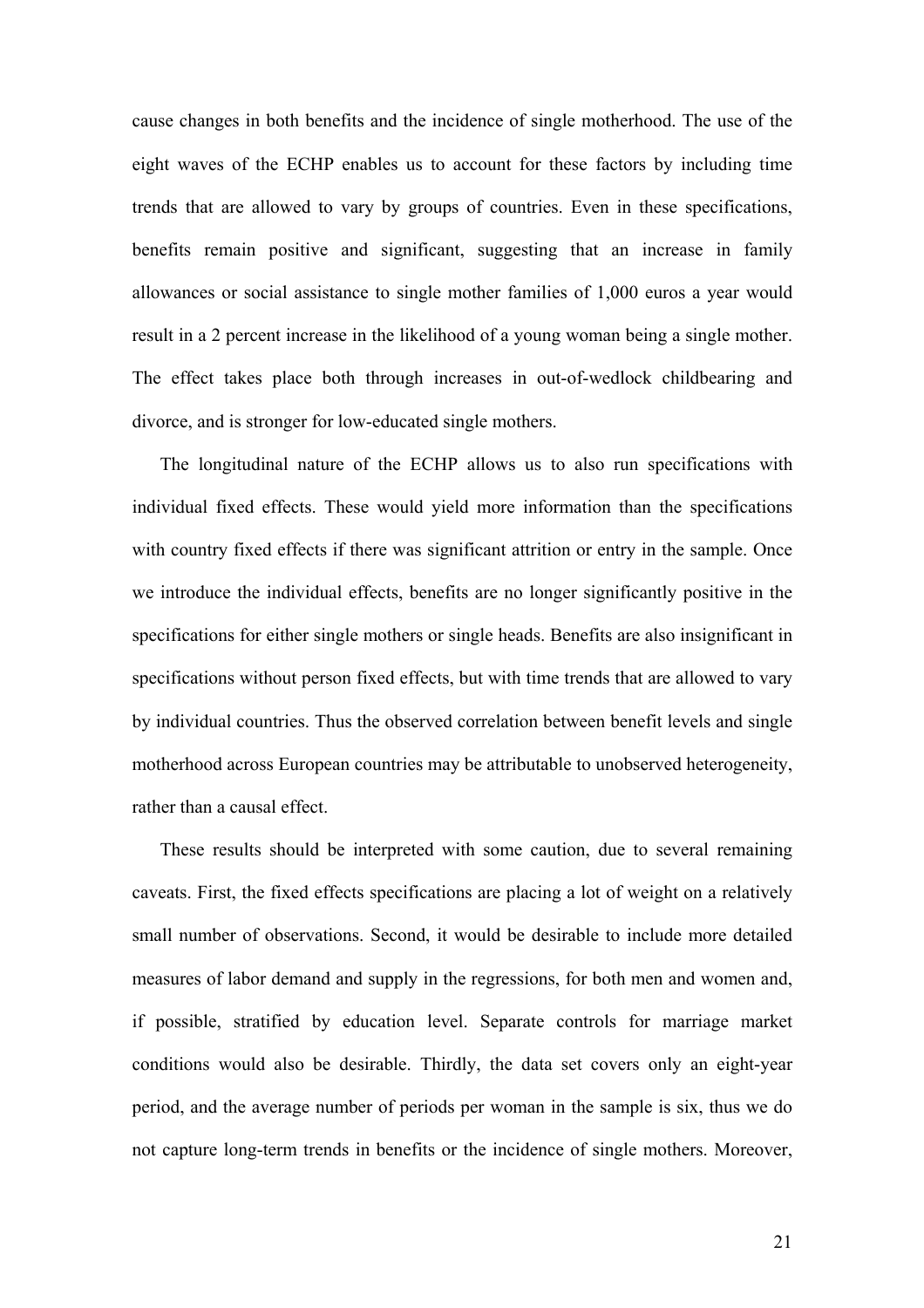cause changes in both benefits and the incidence of single motherhood. The use of the eight waves of the ECHP enables us to account for these factors by including time trends that are allowed to vary by groups of countries. Even in these specifications, benefits remain positive and significant, suggesting that an increase in family allowances or social assistance to single mother families of 1,000 euros a year would result in a 2 percent increase in the likelihood of a young woman being a single mother. The effect takes place both through increases in out-of-wedlock childbearing and divorce, and is stronger for low-educated single mothers.

The longitudinal nature of the ECHP allows us to also run specifications with individual fixed effects. These would yield more information than the specifications with country fixed effects if there was significant attrition or entry in the sample. Once we introduce the individual effects, benefits are no longer significantly positive in the specifications for either single mothers or single heads. Benefits are also insignificant in specifications without person fixed effects, but with time trends that are allowed to vary by individual countries. Thus the observed correlation between benefit levels and single motherhood across European countries may be attributable to unobserved heterogeneity, rather than a causal effect.

These results should be interpreted with some caution, due to several remaining caveats. First, the fixed effects specifications are placing a lot of weight on a relatively small number of observations. Second, it would be desirable to include more detailed measures of labor demand and supply in the regressions, for both men and women and, if possible, stratified by education level. Separate controls for marriage market conditions would also be desirable. Thirdly, the data set covers only an eight-year period, and the average number of periods per woman in the sample is six, thus we do not capture long-term trends in benefits or the incidence of single mothers. Moreover,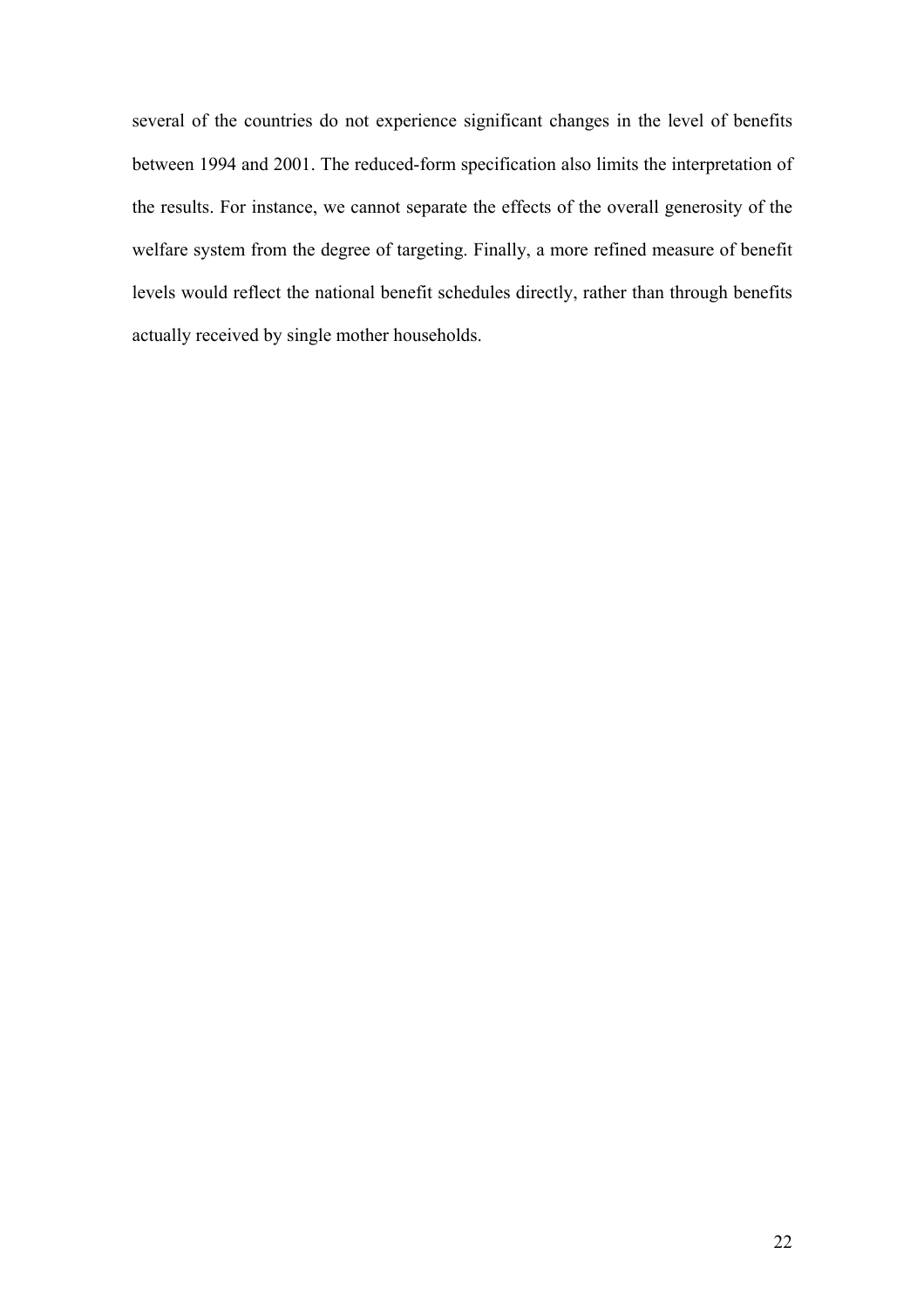several of the countries do not experience significant changes in the level of benefits between 1994 and 2001. The reduced-form specification also limits the interpretation of the results. For instance, we cannot separate the effects of the overall generosity of the welfare system from the degree of targeting. Finally, a more refined measure of benefit levels would reflect the national benefit schedules directly, rather than through benefits actually received by single mother households.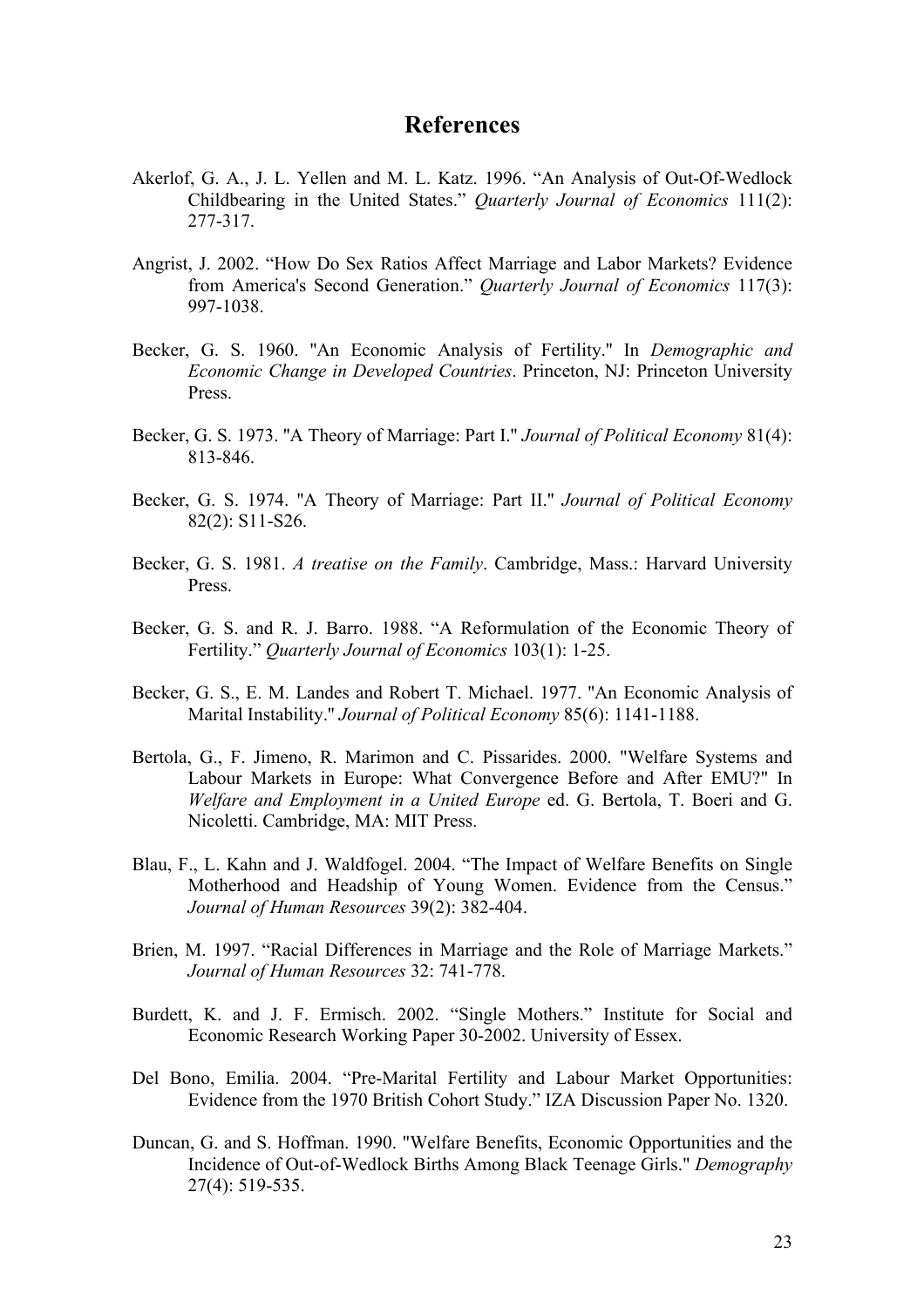## **References**

- Akerlof, G. A., J. L. Yellen and M. L. Katz. 1996. "An Analysis of Out-Of-Wedlock Childbearing in the United States." *Quarterly Journal of Economics* 111(2): 277-317.
- Angrist, J. 2002. "How Do Sex Ratios Affect Marriage and Labor Markets? Evidence from America's Second Generation." *Quarterly Journal of Economics* 117(3): 997-1038.
- Becker, G. S. 1960. ''An Economic Analysis of Fertility.'' In *Demographic and Economic Change in Developed Countries*. Princeton, NJ: Princeton University Press.
- Becker, G. S. 1973. ''A Theory of Marriage: Part I.'' *Journal of Political Economy* 81(4): 813-846.
- Becker, G. S. 1974. ''A Theory of Marriage: Part II.'' *Journal of Political Economy* 82(2): S11-S26.
- Becker, G. S. 1981. *A treatise on the Family*. Cambridge, Mass.: Harvard University Press.
- Becker, G. S. and R. J. Barro. 1988. "A Reformulation of the Economic Theory of Fertility." *Quarterly Journal of Economics* 103(1): 1-25.
- Becker, G. S., E. M. Landes and Robert T. Michael. 1977. ''An Economic Analysis of Marital Instability.'' *Journal of Political Economy* 85(6): 1141-1188.
- Bertola, G., F. Jimeno, R. Marimon and C. Pissarides. 2000. "Welfare Systems and Labour Markets in Europe: What Convergence Before and After EMU?" In *Welfare and Employment in a United Europe* ed. G. Bertola, T. Boeri and G. Nicoletti. Cambridge, MA: MIT Press.
- Blau, F., L. Kahn and J. Waldfogel. 2004. "The Impact of Welfare Benefits on Single Motherhood and Headship of Young Women. Evidence from the Census." *Journal of Human Resources* 39(2): 382-404.
- Brien, M. 1997. "Racial Differences in Marriage and the Role of Marriage Markets." *Journal of Human Resources* 32: 741-778.
- Burdett, K. and J. F. Ermisch. 2002. "Single Mothers." Institute for Social and Economic Research Working Paper 30-2002. University of Essex.
- Del Bono, Emilia. 2004. "Pre-Marital Fertility and Labour Market Opportunities: Evidence from the 1970 British Cohort Study." IZA Discussion Paper No. 1320.
- Duncan, G. and S. Hoffman. 1990. "Welfare Benefits, Economic Opportunities and the Incidence of Out-of-Wedlock Births Among Black Teenage Girls." *Demography* 27(4): 519-535.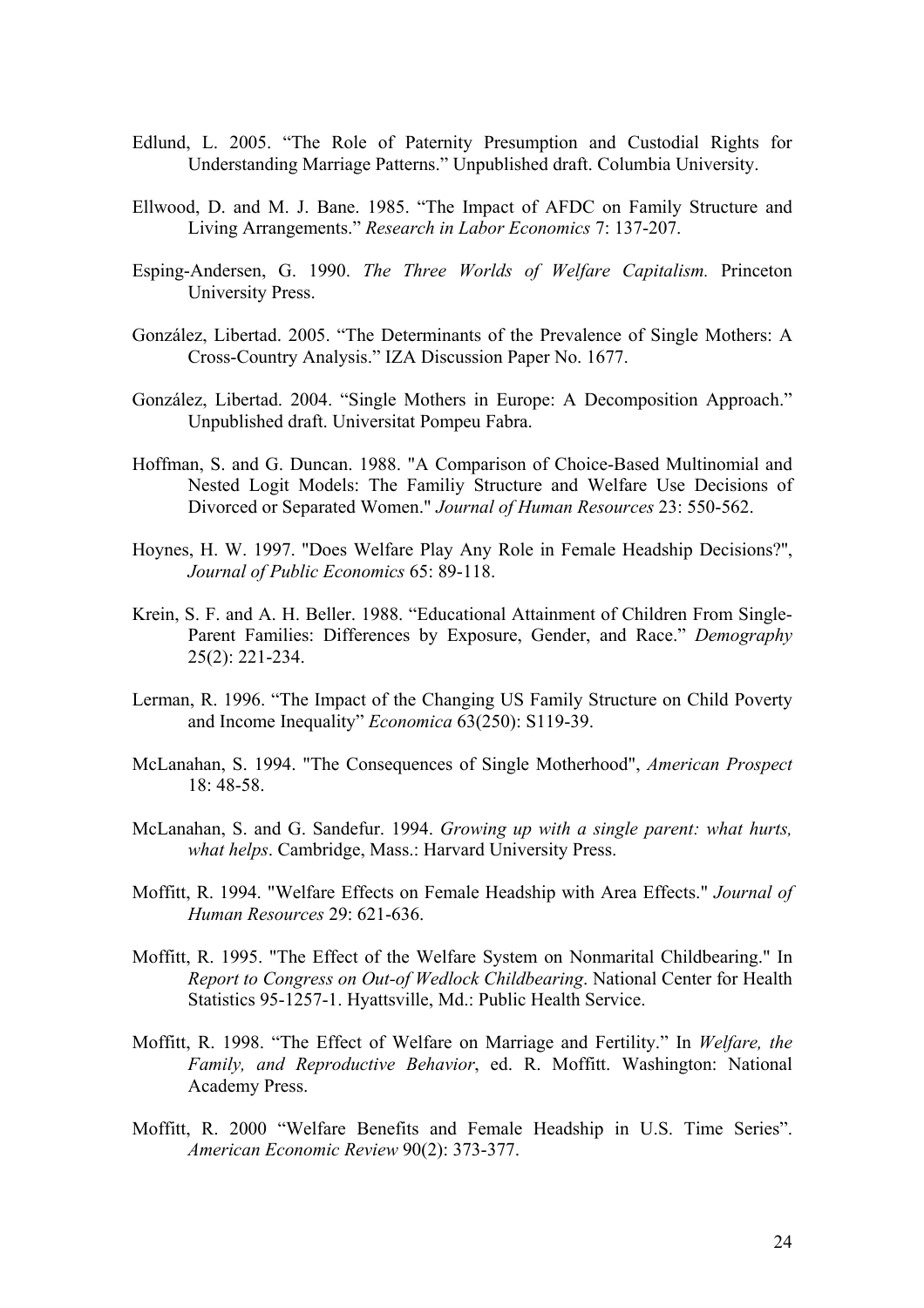- Edlund, L. 2005. "The Role of Paternity Presumption and Custodial Rights for Understanding Marriage Patterns." Unpublished draft. Columbia University.
- Ellwood, D. and M. J. Bane. 1985. "The Impact of AFDC on Family Structure and Living Arrangements." *Research in Labor Economics* 7: 137-207.
- Esping-Andersen, G. 1990. *The Three Worlds of Welfare Capitalism.* Princeton University Press.
- González, Libertad. 2005. "The Determinants of the Prevalence of Single Mothers: A Cross-Country Analysis." IZA Discussion Paper No. 1677.
- González, Libertad. 2004. "Single Mothers in Europe: A Decomposition Approach." Unpublished draft. Universitat Pompeu Fabra.
- Hoffman, S. and G. Duncan. 1988. "A Comparison of Choice-Based Multinomial and Nested Logit Models: The Familiy Structure and Welfare Use Decisions of Divorced or Separated Women." *Journal of Human Resources* 23: 550-562.
- Hoynes, H. W. 1997. ''Does Welfare Play Any Role in Female Headship Decisions?'', *Journal of Public Economics* 65: 89-118.
- Krein, S. F. and A. H. Beller. 1988. "Educational Attainment of Children From Single-Parent Families: Differences by Exposure, Gender, and Race." *Demography* 25(2): 221-234.
- Lerman, R. 1996. "The Impact of the Changing US Family Structure on Child Poverty and Income Inequality" *Economica* 63(250): S119-39.
- McLanahan, S. 1994. "The Consequences of Single Motherhood", *American Prospect*  $18.48 - 58$
- McLanahan, S. and G. Sandefur. 1994. *Growing up with a single parent: what hurts, what helps*. Cambridge, Mass.: Harvard University Press.
- Moffitt, R. 1994. "Welfare Effects on Female Headship with Area Effects." *Journal of Human Resources* 29: 621-636.
- Moffitt, R. 1995. "The Effect of the Welfare System on Nonmarital Childbearing." In *Report to Congress on Out-of Wedlock Childbearing*. National Center for Health Statistics 95-1257-1. Hyattsville, Md.: Public Health Service.
- Moffitt, R. 1998. "The Effect of Welfare on Marriage and Fertility." In *Welfare, the Family, and Reproductive Behavior*, ed. R. Moffitt. Washington: National Academy Press.
- Moffitt, R. 2000 "Welfare Benefits and Female Headship in U.S. Time Series". *American Economic Review* 90(2): 373-377.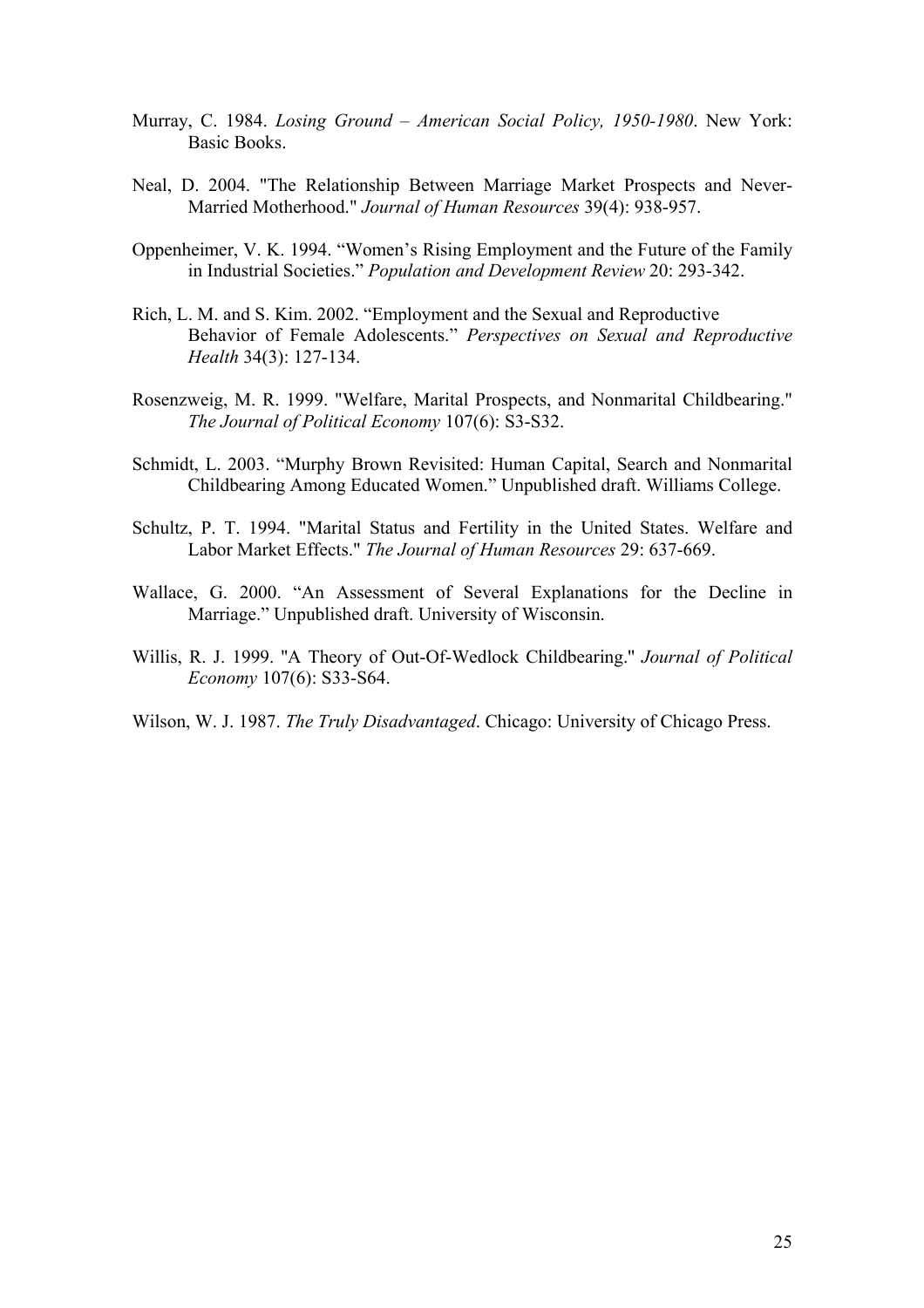- Murray, C. 1984. *Losing Ground American Social Policy, 1950-1980*. New York: Basic Books.
- Neal, D. 2004. "The Relationship Between Marriage Market Prospects and Never-Married Motherhood." *Journal of Human Resources* 39(4): 938-957.
- Oppenheimer, V. K. 1994. "Women's Rising Employment and the Future of the Family in Industrial Societies." *Population and Development Review* 20: 293-342.
- Rich, L. M. and S. Kim. 2002. "Employment and the Sexual and Reproductive Behavior of Female Adolescents." *Perspectives on Sexual and Reproductive Health* 34(3): 127-134.
- Rosenzweig, M. R. 1999. "Welfare, Marital Prospects, and Nonmarital Childbearing." *The Journal of Political Economy* 107(6): S3-S32.
- Schmidt, L. 2003. "Murphy Brown Revisited: Human Capital, Search and Nonmarital Childbearing Among Educated Women." Unpublished draft. Williams College.
- Schultz, P. T. 1994. "Marital Status and Fertility in the United States. Welfare and Labor Market Effects." *The Journal of Human Resources* 29: 637-669.
- Wallace, G. 2000. "An Assessment of Several Explanations for the Decline in Marriage." Unpublished draft. University of Wisconsin.
- Willis, R. J. 1999. ''A Theory of Out-Of-Wedlock Childbearing.'' *Journal of Political Economy* 107(6): S33-S64.
- Wilson, W. J. 1987. *The Truly Disadvantaged*. Chicago: University of Chicago Press.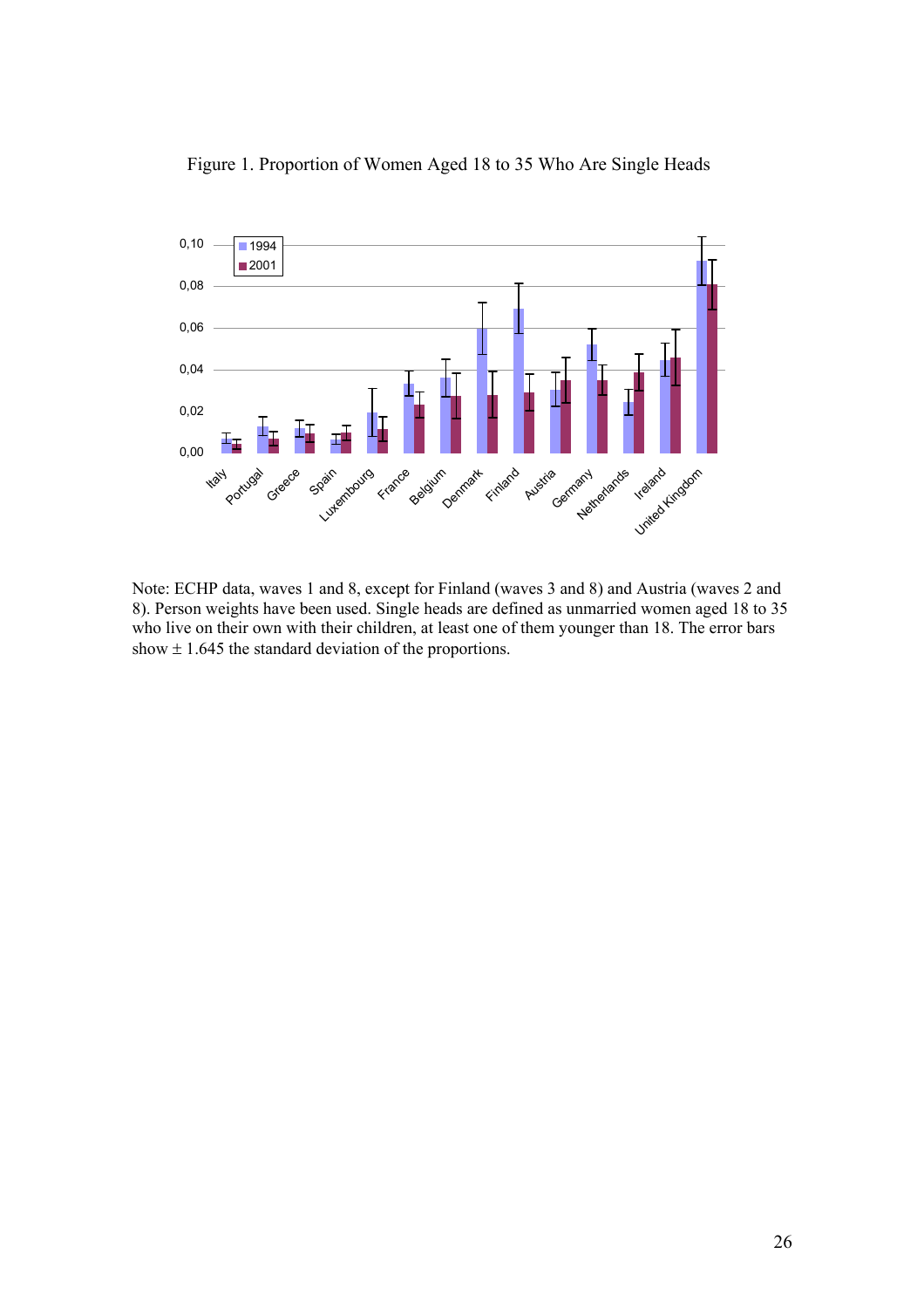

Figure 1. Proportion of Women Aged 18 to 35 Who Are Single Heads

Note: ECHP data, waves 1 and 8, except for Finland (waves 3 and 8) and Austria (waves 2 and 8). Person weights have been used. Single heads are defined as unmarried women aged 18 to 35 who live on their own with their children, at least one of them younger than 18. The error bars show  $\pm$  1.645 the standard deviation of the proportions.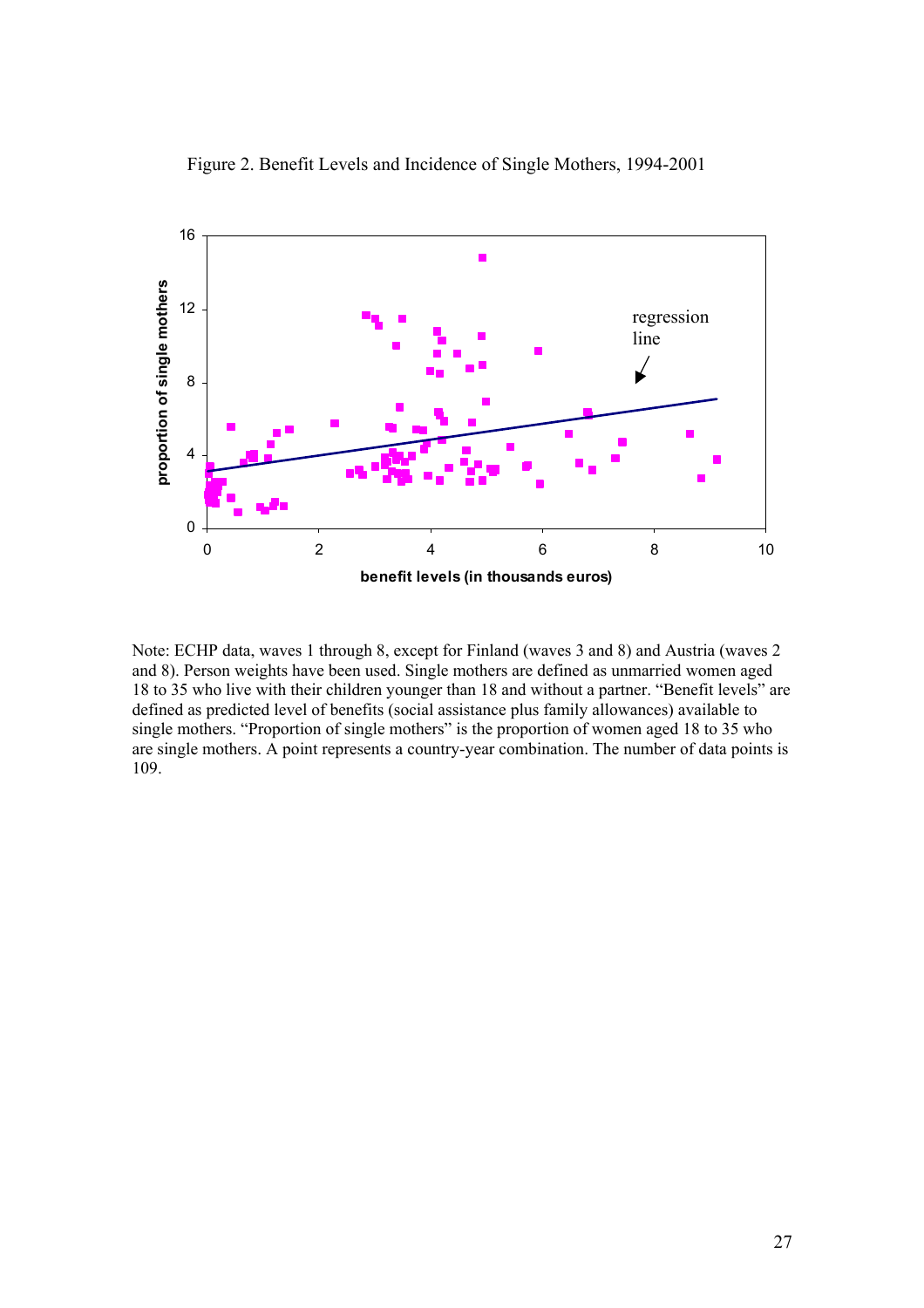

Figure 2. Benefit Levels and Incidence of Single Mothers, 1994-2001

Note: ECHP data, waves 1 through 8, except for Finland (waves 3 and 8) and Austria (waves 2 and 8). Person weights have been used. Single mothers are defined as unmarried women aged 18 to 35 who live with their children younger than 18 and without a partner. "Benefit levels" are defined as predicted level of benefits (social assistance plus family allowances) available to single mothers. "Proportion of single mothers" is the proportion of women aged 18 to 35 who are single mothers. A point represents a country-year combination. The number of data points is 109.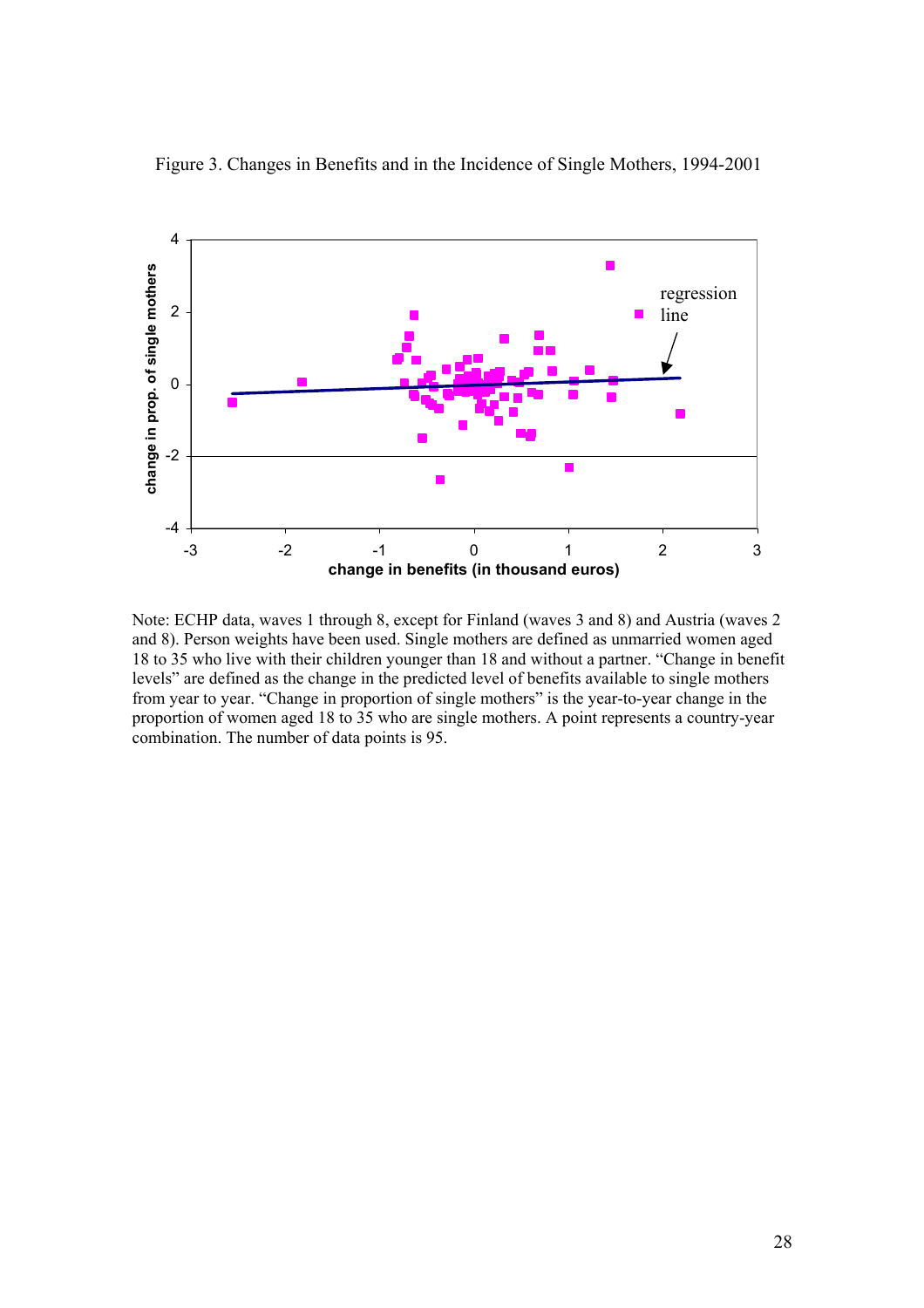

Figure 3. Changes in Benefits and in the Incidence of Single Mothers, 1994-2001

Note: ECHP data, waves 1 through 8, except for Finland (waves 3 and 8) and Austria (waves 2 and 8). Person weights have been used. Single mothers are defined as unmarried women aged 18 to 35 who live with their children younger than 18 and without a partner. "Change in benefit levels" are defined as the change in the predicted level of benefits available to single mothers from year to year. "Change in proportion of single mothers" is the year-to-year change in the proportion of women aged 18 to 35 who are single mothers. A point represents a country-year combination. The number of data points is 95.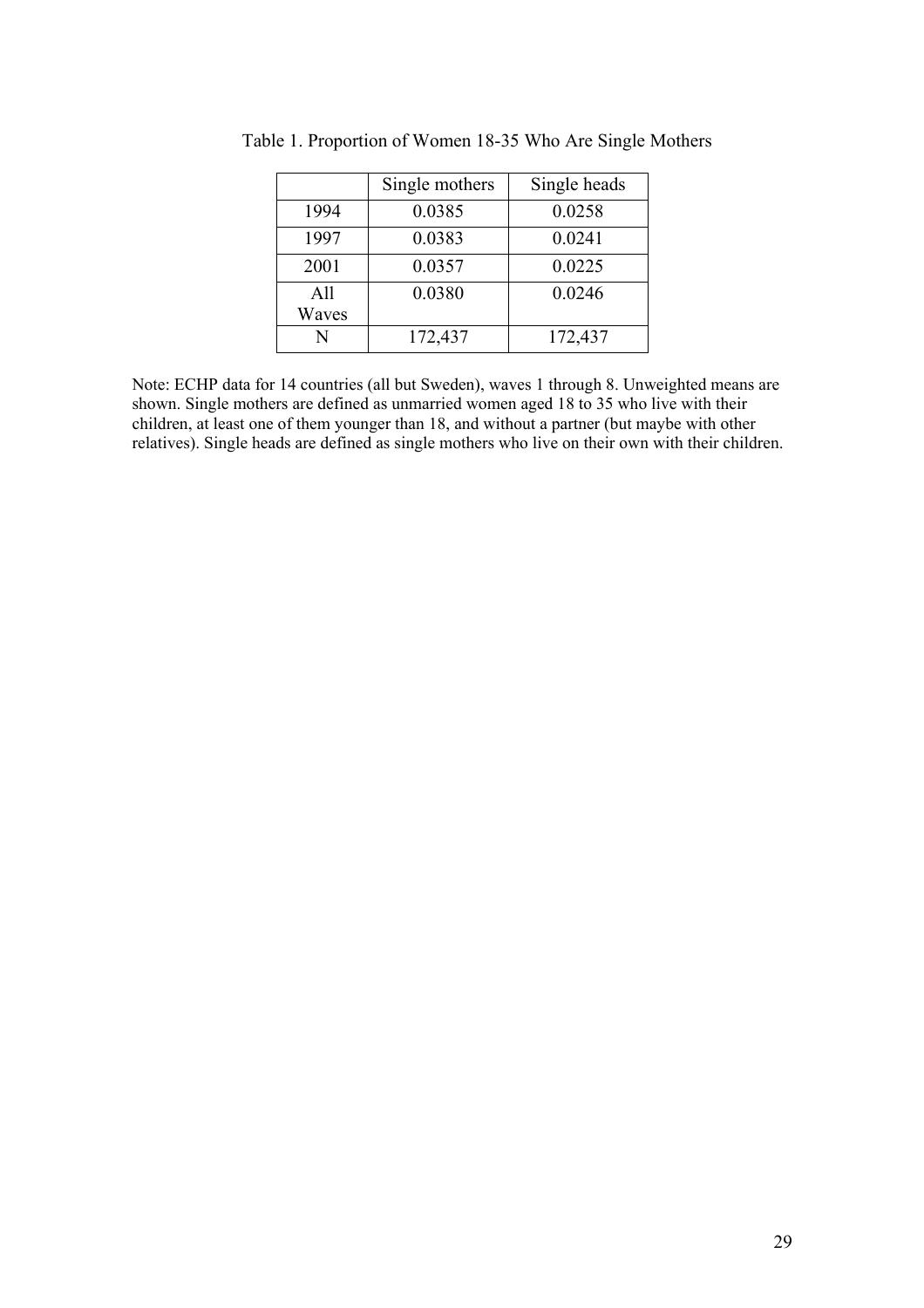|       | Single mothers | Single heads |
|-------|----------------|--------------|
| 1994  | 0.0385         | 0.0258       |
| 1997  | 0.0383         | 0.0241       |
| 2001  | 0.0357         | 0.0225       |
| A11   | 0.0380         | 0.0246       |
| Waves |                |              |
| N     | 172,437        | 172,437      |

Table 1. Proportion of Women 18-35 Who Are Single Mothers

Note: ECHP data for 14 countries (all but Sweden), waves 1 through 8. Unweighted means are shown. Single mothers are defined as unmarried women aged 18 to 35 who live with their children, at least one of them younger than 18, and without a partner (but maybe with other relatives). Single heads are defined as single mothers who live on their own with their children.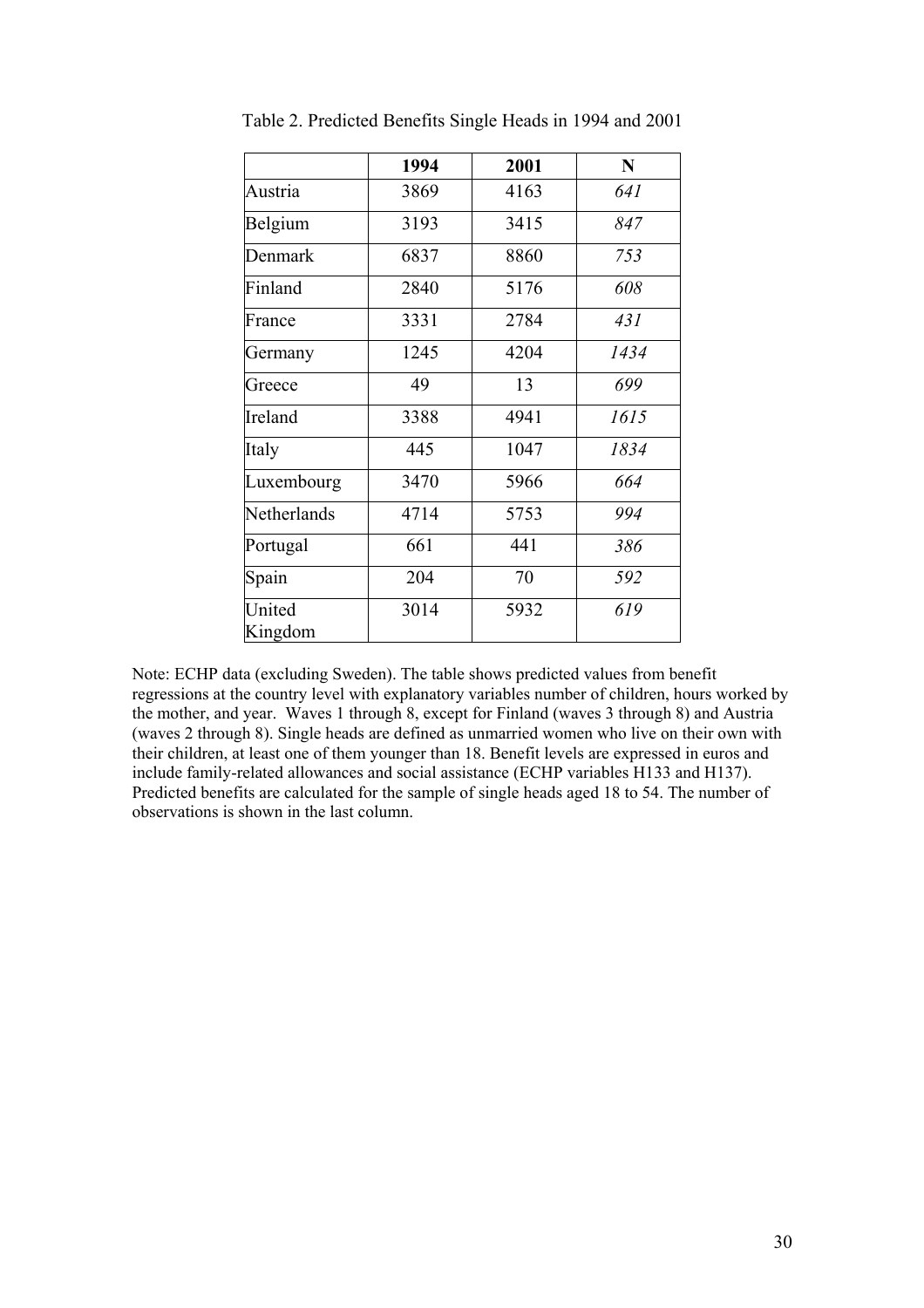|                   | 1994 | 2001 | N    |
|-------------------|------|------|------|
| Austria           | 3869 | 4163 | 641  |
| Belgium           | 3193 | 3415 | 847  |
| Denmark           | 6837 | 8860 | 753  |
| Finland           | 2840 | 5176 | 608  |
| France            | 3331 | 2784 | 431  |
| Germany           | 1245 | 4204 | 1434 |
| Greece            | 49   | 13   | 699  |
| Ireland           | 3388 | 4941 | 1615 |
| Italy             | 445  | 1047 | 1834 |
| Luxembourg        | 3470 | 5966 | 664  |
| Netherlands       | 4714 | 5753 | 994  |
| Portugal          | 661  | 441  | 386  |
| Spain             | 204  | 70   | 592  |
| United<br>Kingdom | 3014 | 5932 | 619  |

Table 2. Predicted Benefits Single Heads in 1994 and 2001

Note: ECHP data (excluding Sweden). The table shows predicted values from benefit regressions at the country level with explanatory variables number of children, hours worked by the mother, and year. Waves 1 through 8, except for Finland (waves 3 through 8) and Austria (waves 2 through 8). Single heads are defined as unmarried women who live on their own with their children, at least one of them younger than 18. Benefit levels are expressed in euros and include family-related allowances and social assistance (ECHP variables H133 and H137). Predicted benefits are calculated for the sample of single heads aged 18 to 54. The number of observations is shown in the last column.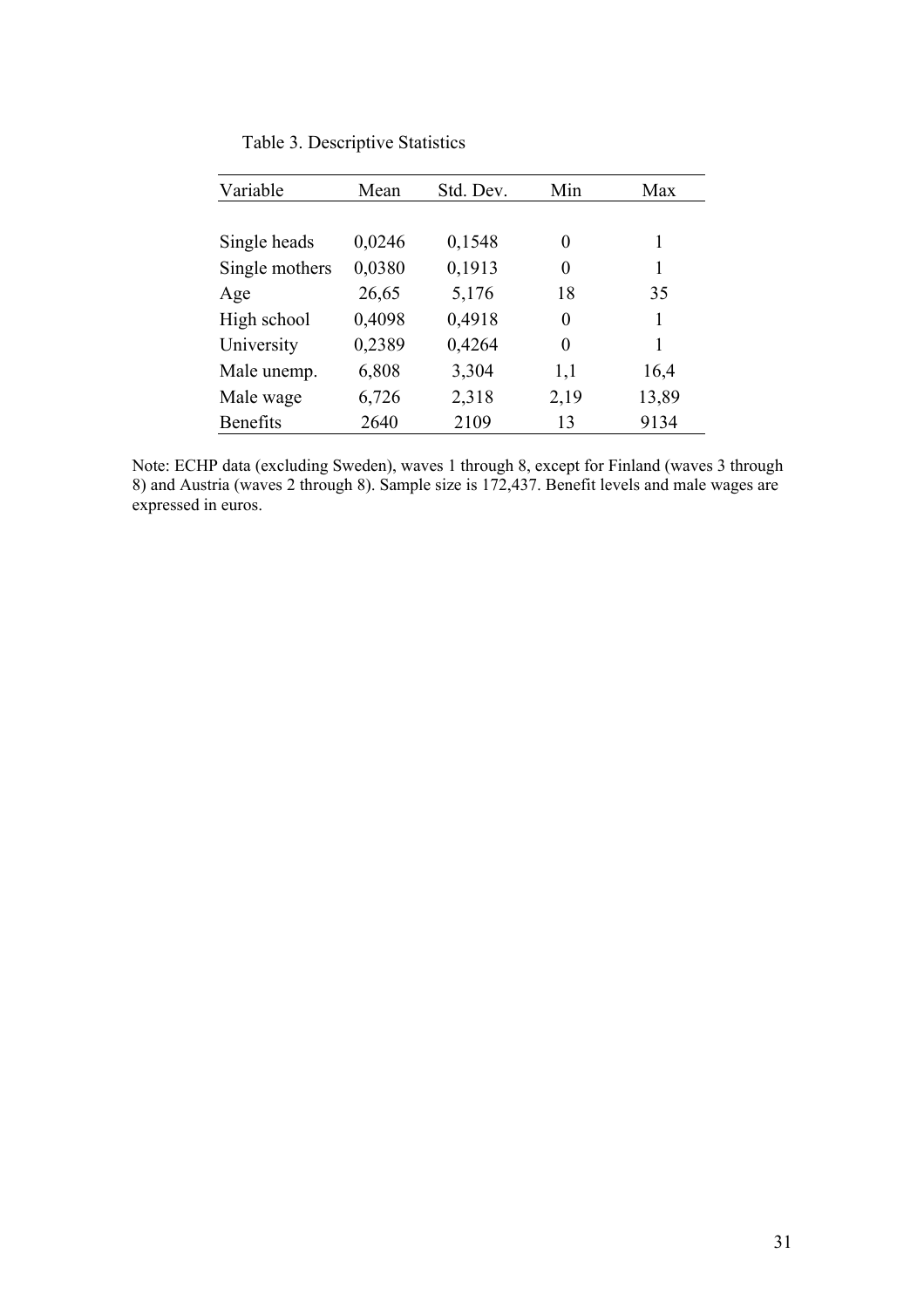| Variable        | Mean   | Std. Dev. | Min      | Max   |
|-----------------|--------|-----------|----------|-------|
|                 |        |           |          |       |
| Single heads    | 0,0246 | 0,1548    | $\theta$ | 1     |
| Single mothers  | 0,0380 | 0,1913    | 0        |       |
| Age             | 26,65  | 5,176     | 18       | 35    |
| High school     | 0,4098 | 0,4918    | 0        | 1     |
| University      | 0,2389 | 0,4264    | $\theta$ |       |
| Male unemp.     | 6,808  | 3,304     | 1,1      | 16,4  |
| Male wage       | 6,726  | 2,318     | 2,19     | 13,89 |
| <b>Benefits</b> | 2640   | 2109      | 13       | 9134  |

Table 3. Descriptive Statistics

Note: ECHP data (excluding Sweden), waves 1 through 8, except for Finland (waves 3 through 8) and Austria (waves 2 through 8). Sample size is 172,437. Benefit levels and male wages are expressed in euros.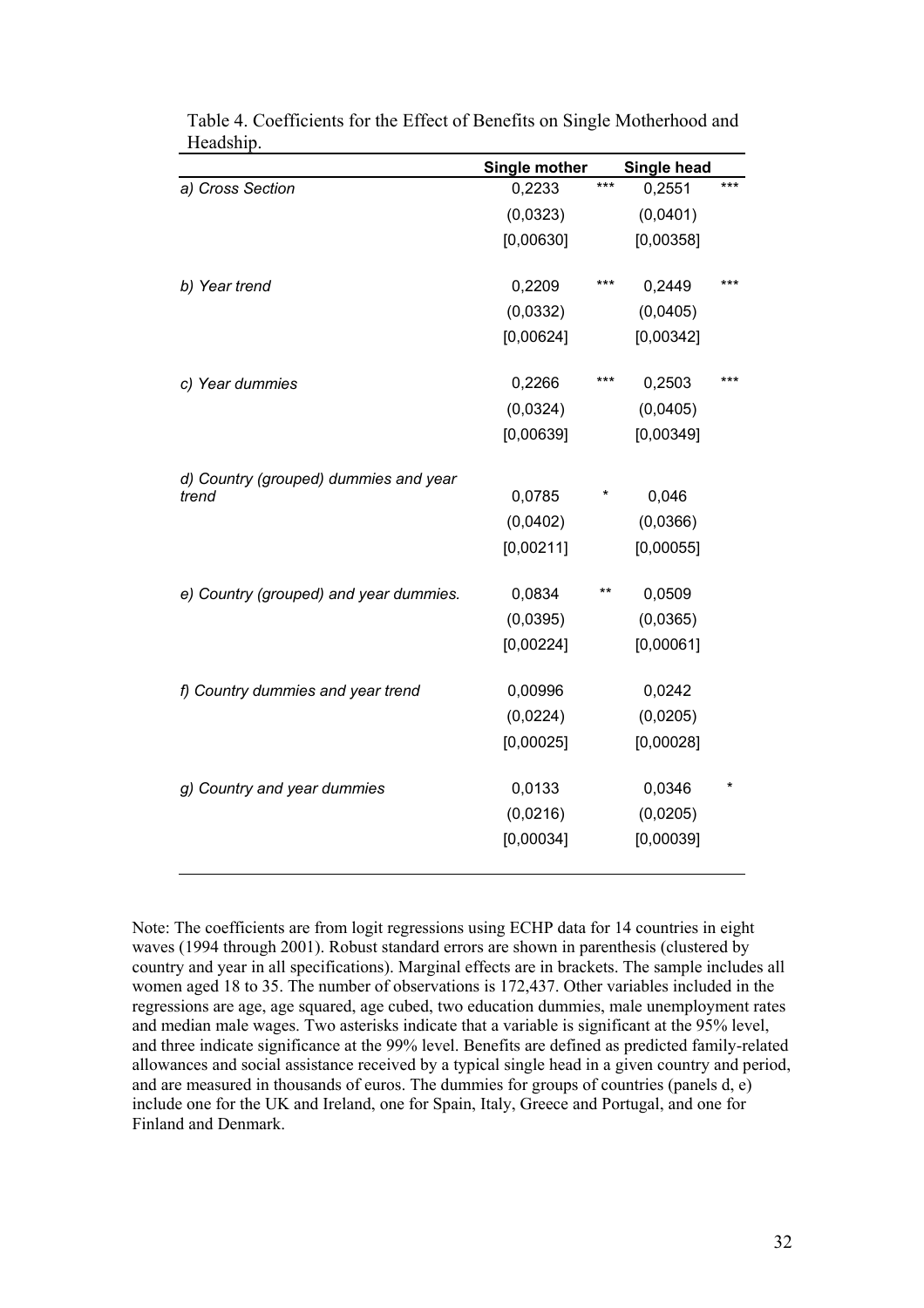|                                                | Single mother |       | Single head |     |
|------------------------------------------------|---------------|-------|-------------|-----|
| a) Cross Section                               | 0,2233        | ***   | 0,2551      | *** |
|                                                | (0,0323)      |       | (0,0401)    |     |
|                                                | [0,00630]     |       | [0,00358]   |     |
|                                                |               |       |             |     |
| b) Year trend                                  | 0,2209        | ***   | 0,2449      | *** |
|                                                | (0,0332)      |       | (0,0405)    |     |
|                                                | [0,00624]     |       | [0,00342]   |     |
|                                                |               |       |             |     |
| c) Year dummies                                | 0,2266        | ***   | 0,2503      | *** |
|                                                | (0,0324)      |       | (0,0405)    |     |
|                                                | [0,00639]     |       | [0,00349]   |     |
|                                                |               |       |             |     |
| d) Country (grouped) dummies and year<br>trend | 0,0785        |       | 0,046       |     |
|                                                | (0,0402)      |       | (0,0366)    |     |
|                                                | [0,00211]     |       | [0,00055]   |     |
|                                                |               |       |             |     |
| e) Country (grouped) and year dummies.         | 0,0834        | $***$ | 0,0509      |     |
|                                                | (0,0395)      |       | (0,0365)    |     |
|                                                | [0,00224]     |       | [0,00061]   |     |
|                                                |               |       |             |     |
| f) Country dummies and year trend              | 0,00996       |       | 0,0242      |     |
|                                                | (0,0224)      |       | (0,0205)    |     |
|                                                | [0,00025]     |       | [0,00028]   |     |
|                                                |               |       |             |     |
| g) Country and year dummies                    | 0,0133        |       | 0,0346      |     |
|                                                | (0,0216)      |       | (0,0205)    |     |
|                                                | [0,00034]     |       | [0,00039]   |     |
|                                                |               |       |             |     |

Table 4. Coefficients for the Effect of Benefits on Single Motherhood and Headship.

Note: The coefficients are from logit regressions using ECHP data for 14 countries in eight waves (1994 through 2001). Robust standard errors are shown in parenthesis (clustered by country and year in all specifications). Marginal effects are in brackets. The sample includes all women aged 18 to 35. The number of observations is 172,437. Other variables included in the regressions are age, age squared, age cubed, two education dummies, male unemployment rates and median male wages. Two asterisks indicate that a variable is significant at the 95% level, and three indicate significance at the 99% level. Benefits are defined as predicted family-related allowances and social assistance received by a typical single head in a given country and period, and are measured in thousands of euros. The dummies for groups of countries (panels d, e) include one for the UK and Ireland, one for Spain, Italy, Greece and Portugal, and one for Finland and Denmark.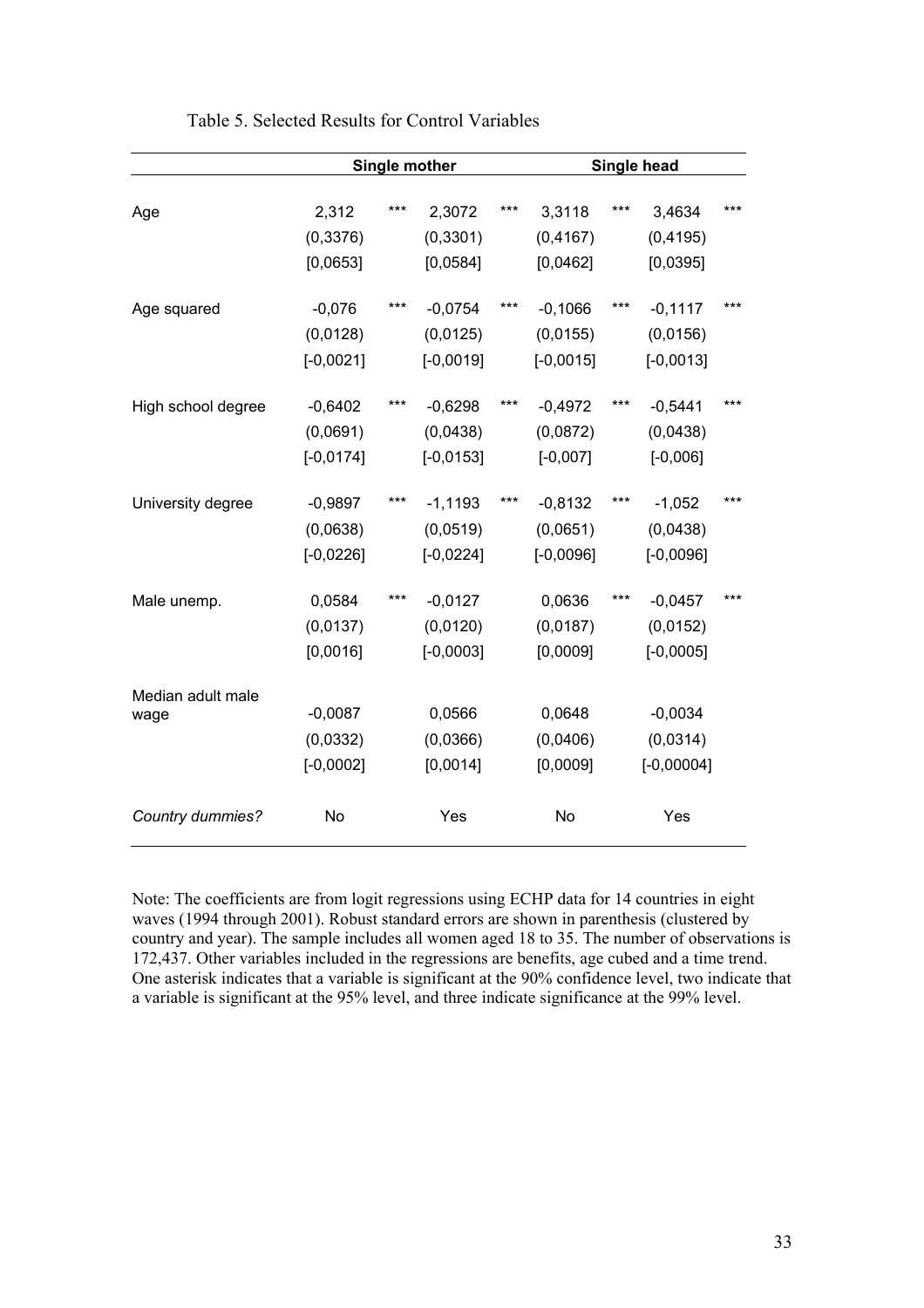|                    | Single mother |     |              | Single head |             |       |              |     |
|--------------------|---------------|-----|--------------|-------------|-------------|-------|--------------|-----|
|                    |               |     |              |             |             |       |              |     |
| Age                | 2,312         | *** | 2,3072       | ***         | 3,3118      | $***$ | 3,4634       | *** |
|                    | (0, 3376)     |     | (0, 3301)    |             | (0, 4167)   |       | (0, 4195)    |     |
|                    | [0,0653]      |     | [0,0584]     |             | [0,0462]    |       | [0,0395]     |     |
| Age squared        | $-0,076$      | *** | $-0,0754$    | $***$       | $-0,1066$   | $***$ | $-0,1117$    | *** |
|                    | (0,0128)      |     | (0,0125)     |             | (0,0155)    |       | (0,0156)     |     |
|                    | $[-0,0021]$   |     | $[-0,0019]$  |             | $[-0,0015]$ |       | $[-0,0013]$  |     |
| High school degree | $-0,6402$     | *** | $-0,6298$    | ***         | $-0,4972$   | ***   | $-0,5441$    | *** |
|                    | (0,0691)      |     | (0,0438)     |             | (0,0872)    |       | (0,0438)     |     |
|                    | $[-0, 0174]$  |     | $[-0, 0153]$ |             | $[-0,007]$  |       | $[-0,006]$   |     |
| University degree  | $-0,9897$     | *** | $-1,1193$    | ***         | $-0,8132$   | ***   | $-1,052$     | *** |
|                    | (0,0638)      |     | (0,0519)     |             | (0,0651)    |       | (0,0438)     |     |
|                    | $[-0,0226]$   |     | $[-0, 0224]$ |             | $[-0,0096]$ |       | $[-0,0096]$  |     |
| Male unemp.        | 0,0584        | *** | $-0,0127$    |             | 0,0636      | ***   | $-0,0457$    | *** |
|                    | (0,0137)      |     | (0,0120)     |             | (0,0187)    |       | (0,0152)     |     |
|                    | [0,0016]      |     | $[-0,0003]$  |             | [0,0009]    |       | $[-0,0005]$  |     |
| Median adult male  |               |     |              |             |             |       |              |     |
| wage               | $-0,0087$     |     | 0,0566       |             | 0,0648      |       | $-0,0034$    |     |
|                    | (0,0332)      |     | (0,0366)     |             | (0,0406)    |       | (0,0314)     |     |
|                    | $[-0,0002]$   |     | [0,0014]     |             | [0,0009]    |       | $[-0,00004]$ |     |
| Country dummies?   | No            |     | Yes          |             | No          |       | Yes          |     |

Table 5. Selected Results for Control Variables

Note: The coefficients are from logit regressions using ECHP data for 14 countries in eight waves (1994 through 2001). Robust standard errors are shown in parenthesis (clustered by country and year). The sample includes all women aged 18 to 35. The number of observations is 172,437. Other variables included in the regressions are benefits, age cubed and a time trend. One asterisk indicates that a variable is significant at the 90% confidence level, two indicate that a variable is significant at the 95% level, and three indicate significance at the 99% level.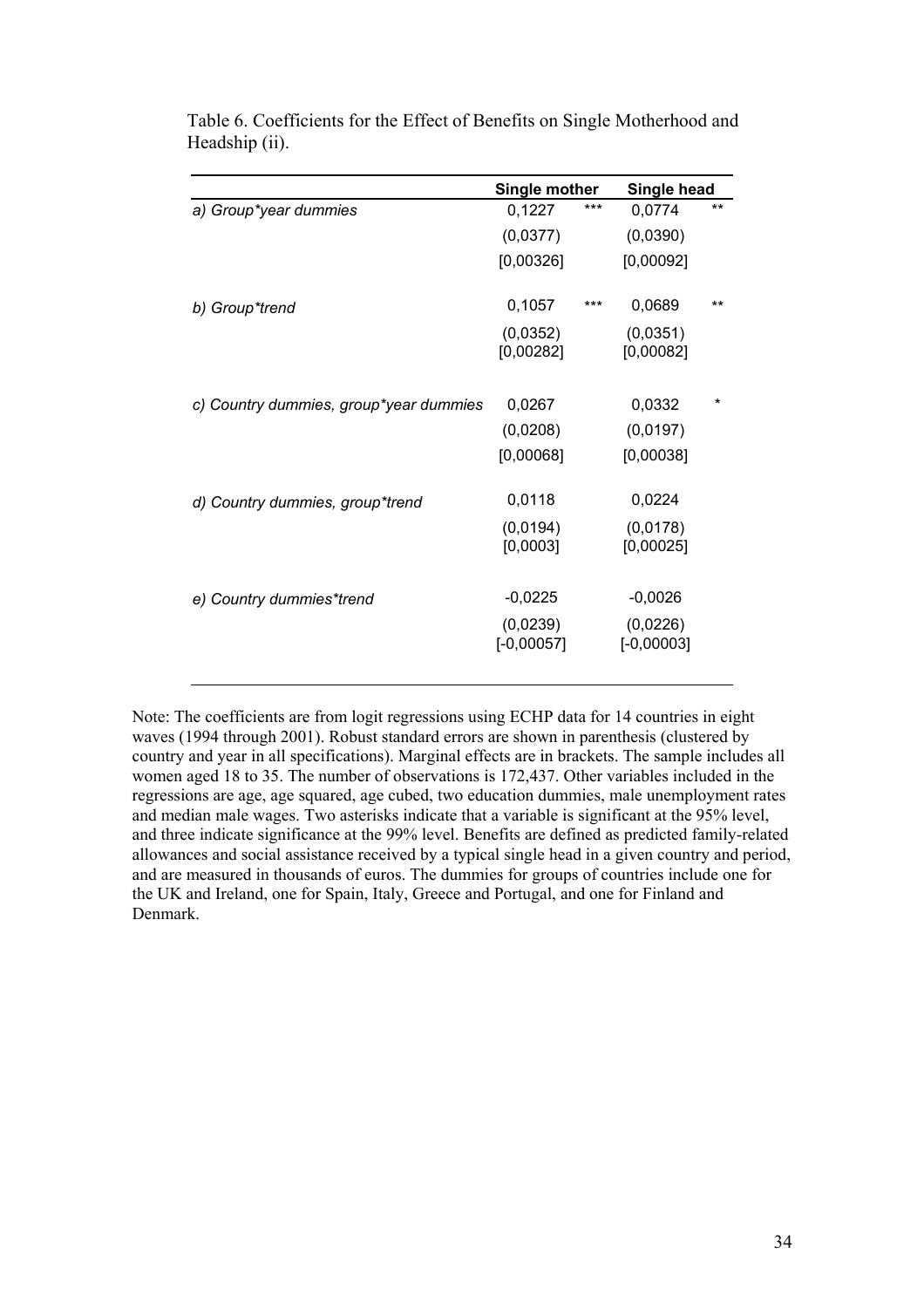|                                        | <b>Single mother</b>     |     | Single head              |       |
|----------------------------------------|--------------------------|-----|--------------------------|-------|
| a) Group*year dummies                  | 0,1227                   | *** | 0,0774                   | **    |
|                                        | (0,0377)                 |     | (0,0390)                 |       |
|                                        | [0,00326]                |     | [0,00092]                |       |
| b) Group*trend                         | 0,1057                   | *** | 0,0689                   | $***$ |
|                                        | (0,0352)<br>[0,00282]    |     | (0,0351)<br>[0,00082]    |       |
| c) Country dummies, group*year dummies | 0,0267                   |     | 0,0332                   | *     |
|                                        | (0,0208)                 |     | (0,0197)                 |       |
|                                        | [0,00068]                |     | [0,00038]                |       |
| d) Country dummies, group*trend        | 0,0118                   |     | 0,0224                   |       |
|                                        | (0,0194)<br>[0,0003]     |     | (0,0178)<br>[0,00025]    |       |
| e) Country dummies*trend               | $-0,0225$                |     | $-0,0026$                |       |
|                                        | (0,0239)<br>$[-0,00057]$ |     | (0,0226)<br>$[-0,00003]$ |       |

Table 6. Coefficients for the Effect of Benefits on Single Motherhood and Headship (ii).

Note: The coefficients are from logit regressions using ECHP data for 14 countries in eight waves (1994 through 2001). Robust standard errors are shown in parenthesis (clustered by country and year in all specifications). Marginal effects are in brackets. The sample includes all women aged 18 to 35. The number of observations is 172,437. Other variables included in the regressions are age, age squared, age cubed, two education dummies, male unemployment rates and median male wages. Two asterisks indicate that a variable is significant at the 95% level, and three indicate significance at the 99% level. Benefits are defined as predicted family-related allowances and social assistance received by a typical single head in a given country and period, and are measured in thousands of euros. The dummies for groups of countries include one for the UK and Ireland, one for Spain, Italy, Greece and Portugal, and one for Finland and Denmark.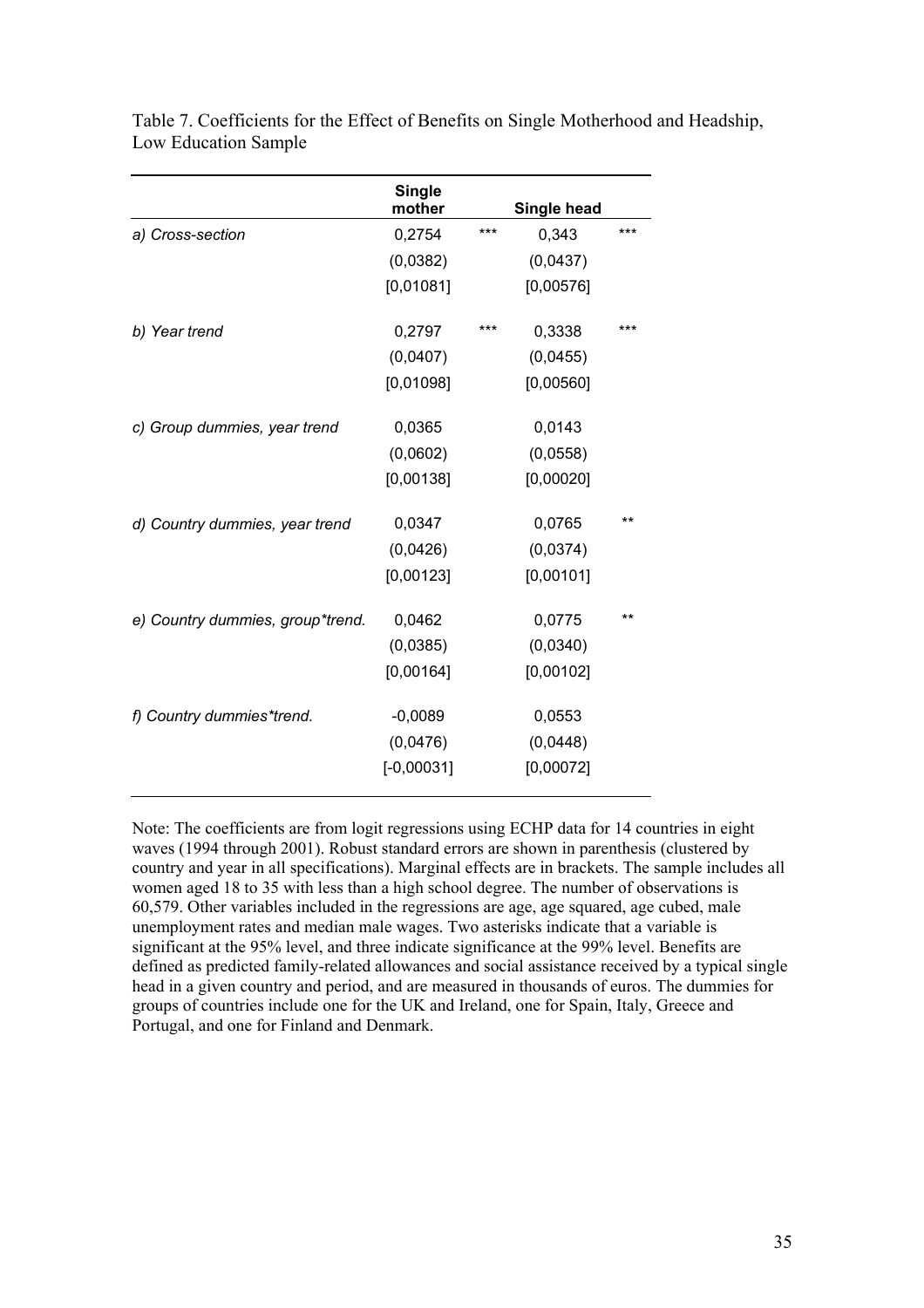|                                  | <b>Single</b><br>mother |     | Single head |       |
|----------------------------------|-------------------------|-----|-------------|-------|
| a) Cross-section                 | 0,2754                  | *** | 0,343       | $***$ |
|                                  | (0,0382)                |     | (0,0437)    |       |
|                                  | [0,01081]               |     | [0,00576]   |       |
| b) Year trend                    | 0,2797                  | *** | 0,3338      | ***   |
|                                  | (0,0407)                |     | (0,0455)    |       |
|                                  | [0,01098]               |     | [0,00560]   |       |
| c) Group dummies, year trend     | 0,0365                  |     | 0,0143      |       |
|                                  | (0,0602)                |     | (0,0558)    |       |
|                                  | [0,00138]               |     | [0,00020]   |       |
| d) Country dummies, year trend   | 0,0347                  |     | 0,0765      | $***$ |
|                                  | (0,0426)                |     | (0,0374)    |       |
|                                  | [0,00123]               |     | [0,00101]   |       |
| e) Country dummies, group*trend. | 0,0462                  |     | 0,0775      | $***$ |
|                                  | (0,0385)                |     | (0,0340)    |       |
|                                  | [0,00164]               |     | [0,00102]   |       |
| f) Country dummies*trend.        | $-0,0089$               |     | 0,0553      |       |
|                                  | (0,0476)                |     | (0,0448)    |       |
|                                  | $[-0,00031]$            |     | [0,00072]   |       |

Table 7. Coefficients for the Effect of Benefits on Single Motherhood and Headship, Low Education Sample

Note: The coefficients are from logit regressions using ECHP data for 14 countries in eight waves (1994 through 2001). Robust standard errors are shown in parenthesis (clustered by country and year in all specifications). Marginal effects are in brackets. The sample includes all women aged 18 to 35 with less than a high school degree. The number of observations is 60,579. Other variables included in the regressions are age, age squared, age cubed, male unemployment rates and median male wages. Two asterisks indicate that a variable is significant at the 95% level, and three indicate significance at the 99% level. Benefits are defined as predicted family-related allowances and social assistance received by a typical single head in a given country and period, and are measured in thousands of euros. The dummies for groups of countries include one for the UK and Ireland, one for Spain, Italy, Greece and Portugal, and one for Finland and Denmark.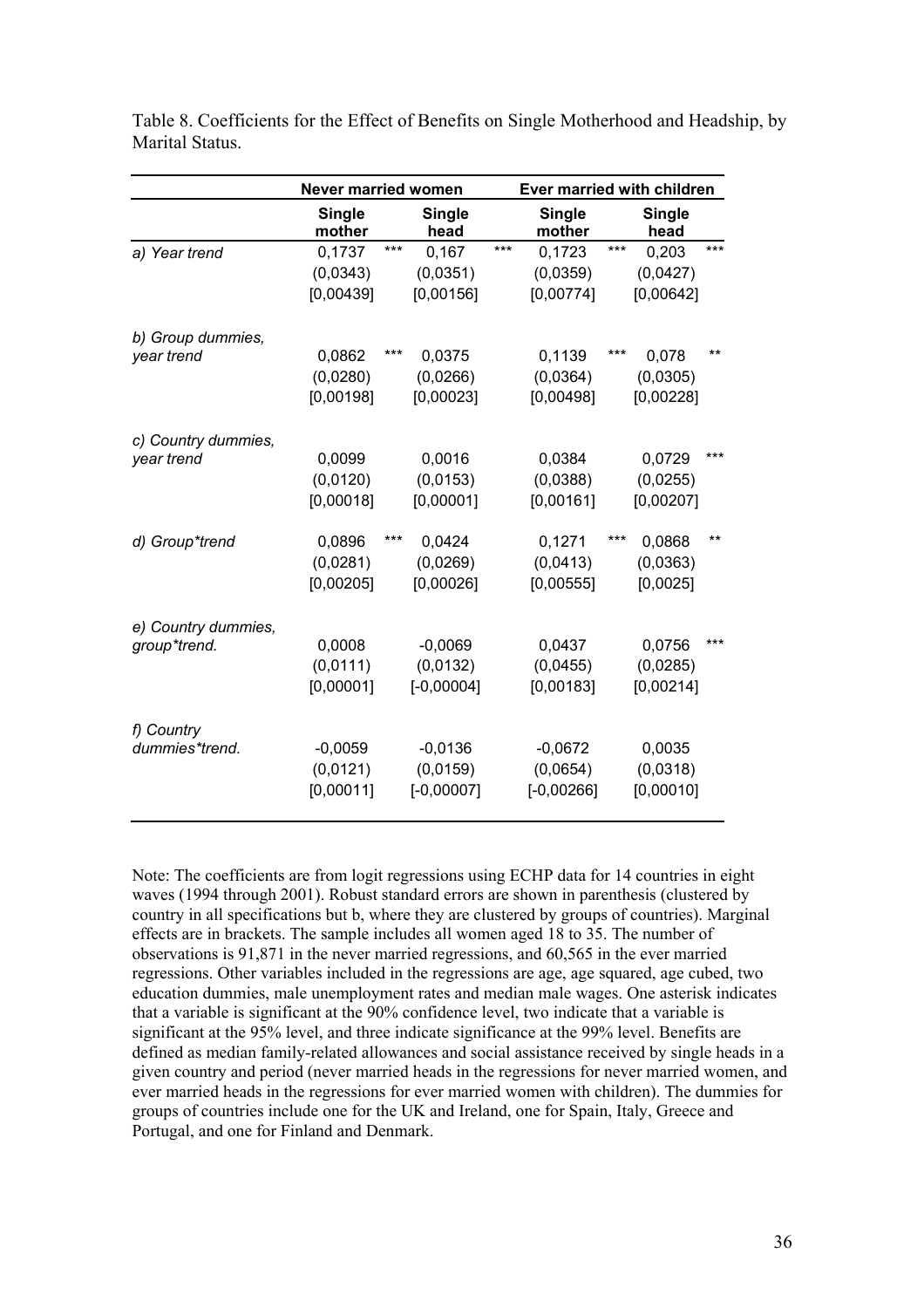|                     | <b>Never married women</b> |       |                       | Ever married with children |                         |     |                       |       |
|---------------------|----------------------------|-------|-----------------------|----------------------------|-------------------------|-----|-----------------------|-------|
|                     | <b>Single</b><br>mother    |       | <b>Single</b><br>head |                            | <b>Single</b><br>mother |     | <b>Single</b><br>head |       |
| a) Year trend       | 0,1737                     | $***$ | 0,167                 | ***                        | 0,1723                  | *** | 0,203                 | ***   |
|                     | (0,0343)                   |       | (0,0351)              |                            | (0,0359)                |     | (0,0427)              |       |
|                     | [0,00439]                  |       | [0,00156]             |                            | [0,00774]               |     | [0,00642]             |       |
| b) Group dummies,   |                            |       |                       |                            |                         |     |                       |       |
| year trend          | 0,0862                     | ***   | 0,0375                |                            | 0,1139                  | *** | 0,078                 | $***$ |
|                     | (0,0280)                   |       | (0,0266)              |                            | (0,0364)                |     | (0,0305)              |       |
|                     | [0,00198]                  |       | [0,00023]             |                            | [0,00498]               |     | [0,00228]             |       |
| c) Country dummies, |                            |       |                       |                            |                         |     |                       |       |
| year trend          | 0,0099                     |       | 0,0016                |                            | 0,0384                  |     | 0,0729                | ***   |
|                     | (0,0120)                   |       | (0,0153)              |                            | (0,0388)                |     | (0,0255)              |       |
|                     | [0,00018]                  |       | [0,00001]             |                            | [0,00161]               |     | [0,00207]             |       |
| d) Group*trend      | 0,0896                     | ***   | 0,0424                |                            | 0,1271                  | *** | 0,0868                | $***$ |
|                     | (0,0281)                   |       | (0,0269)              |                            | (0,0413)                |     | (0,0363)              |       |
|                     | [0,00205]                  |       | [0,00026]             |                            | [0,00555]               |     | [0,0025]              |       |
| e) Country dummies, |                            |       |                       |                            |                         |     |                       |       |
| group*trend.        | 0,0008                     |       | $-0,0069$             |                            | 0,0437                  |     | 0,0756                | ***   |
|                     | (0,0111)                   |       | (0,0132)              |                            | (0,0455)                |     | (0,0285)              |       |
|                     | [0,00001]                  |       | $[-0,00004]$          |                            | [0,00183]               |     | [0,00214]             |       |
| f) Country          |                            |       |                       |                            |                         |     |                       |       |
| dummies*trend.      | $-0,0059$                  |       | $-0,0136$             |                            | $-0,0672$               |     | 0,0035                |       |
|                     | (0,0121)                   |       | (0,0159)              |                            | (0,0654)                |     | (0,0318)              |       |
|                     | [0,00011]                  |       | $[-0,00007]$          |                            | $[-0,00266]$            |     | [0,00010]             |       |

Table 8. Coefficients for the Effect of Benefits on Single Motherhood and Headship, by Marital Status.

Note: The coefficients are from logit regressions using ECHP data for 14 countries in eight waves (1994 through 2001). Robust standard errors are shown in parenthesis (clustered by country in all specifications but b, where they are clustered by groups of countries). Marginal effects are in brackets. The sample includes all women aged 18 to 35. The number of observations is 91,871 in the never married regressions, and 60,565 in the ever married regressions. Other variables included in the regressions are age, age squared, age cubed, two education dummies, male unemployment rates and median male wages. One asterisk indicates that a variable is significant at the 90% confidence level, two indicate that a variable is significant at the 95% level, and three indicate significance at the 99% level. Benefits are defined as median family-related allowances and social assistance received by single heads in a given country and period (never married heads in the regressions for never married women, and ever married heads in the regressions for ever married women with children). The dummies for groups of countries include one for the UK and Ireland, one for Spain, Italy, Greece and Portugal, and one for Finland and Denmark.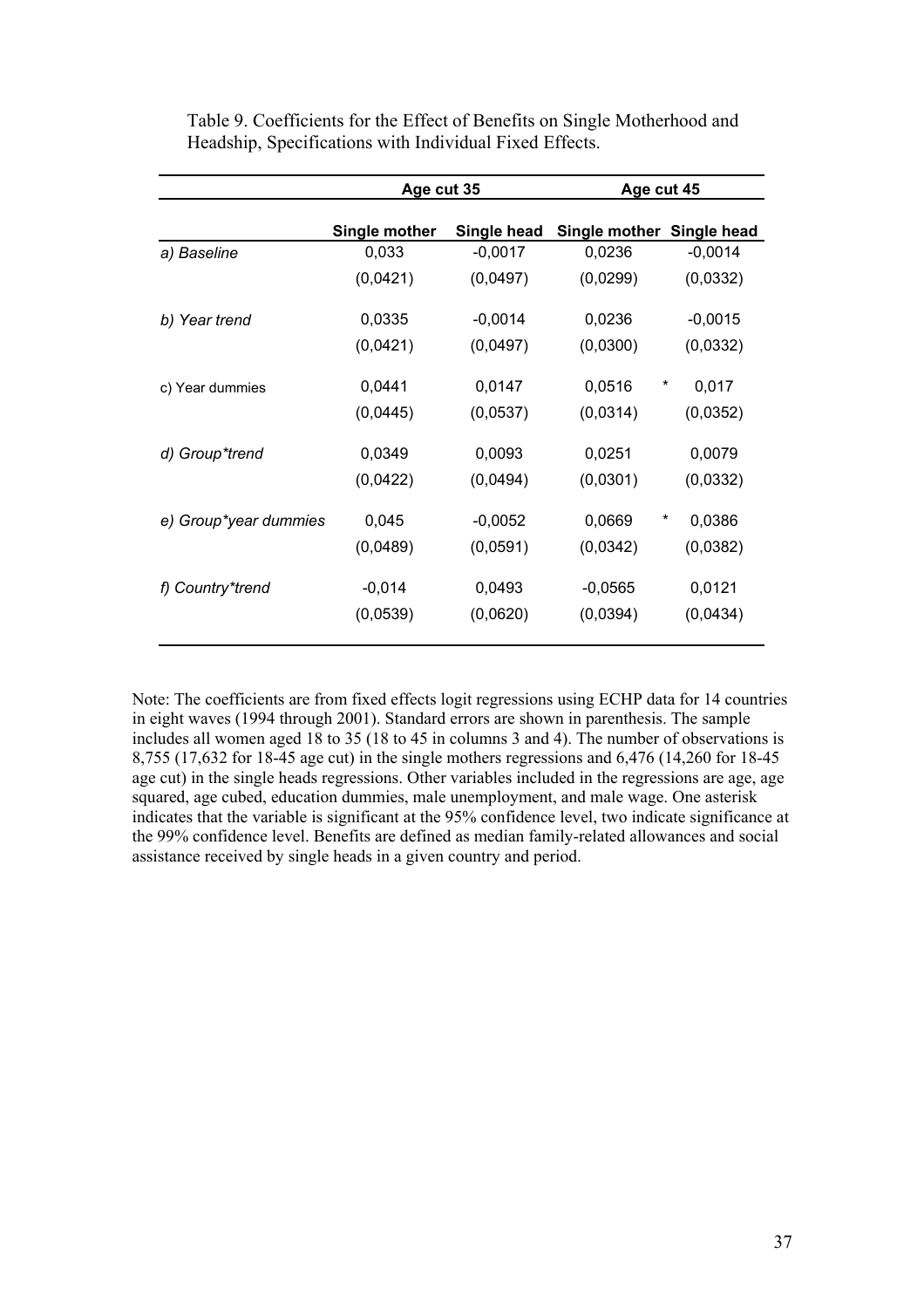|                       | Age cut 35           |             | Age cut 45    |             |  |
|-----------------------|----------------------|-------------|---------------|-------------|--|
|                       | <b>Single mother</b> | Single head | Single mother | Single head |  |
| a) Baseline           | 0,033                | $-0,0017$   | 0,0236        | $-0,0014$   |  |
|                       | (0,0421)             | (0,0497)    | (0,0299)      | (0,0332)    |  |
| b) Year trend         | 0,0335               | $-0,0014$   | 0,0236        | $-0,0015$   |  |
|                       | (0,0421)             | (0,0497)    | (0,0300)      | (0,0332)    |  |
| c) Year dummies       | 0,0441               | 0,0147      | 0,0516        | *<br>0,017  |  |
|                       | (0,0445)             | (0,0537)    | (0,0314)      | (0,0352)    |  |
| d) Group*trend        | 0,0349               | 0,0093      | 0,0251        | 0,0079      |  |
|                       | (0,0422)             | (0,0494)    | (0,0301)      | (0,0332)    |  |
| e) Group*year dummies | 0,045                | $-0,0052$   | 0,0669        | *<br>0,0386 |  |
|                       | (0,0489)             | (0,0591)    | (0,0342)      | (0,0382)    |  |
| f) Country*trend      | $-0,014$             | 0,0493      | $-0,0565$     | 0,0121      |  |
|                       | (0,0539)             | (0,0620)    | (0,0394)      | (0,0434)    |  |
|                       |                      |             |               |             |  |

Table 9. Coefficients for the Effect of Benefits on Single Motherhood and Headship, Specifications with Individual Fixed Effects.

Note: The coefficients are from fixed effects logit regressions using ECHP data for 14 countries in eight waves (1994 through 2001). Standard errors are shown in parenthesis. The sample includes all women aged 18 to 35 (18 to 45 in columns 3 and 4). The number of observations is 8,755 (17,632 for 18-45 age cut) in the single mothers regressions and 6,476 (14,260 for 18-45 age cut) in the single heads regressions. Other variables included in the regressions are age, age squared, age cubed, education dummies, male unemployment, and male wage. One asterisk indicates that the variable is significant at the 95% confidence level, two indicate significance at the 99% confidence level. Benefits are defined as median family-related allowances and social assistance received by single heads in a given country and period.